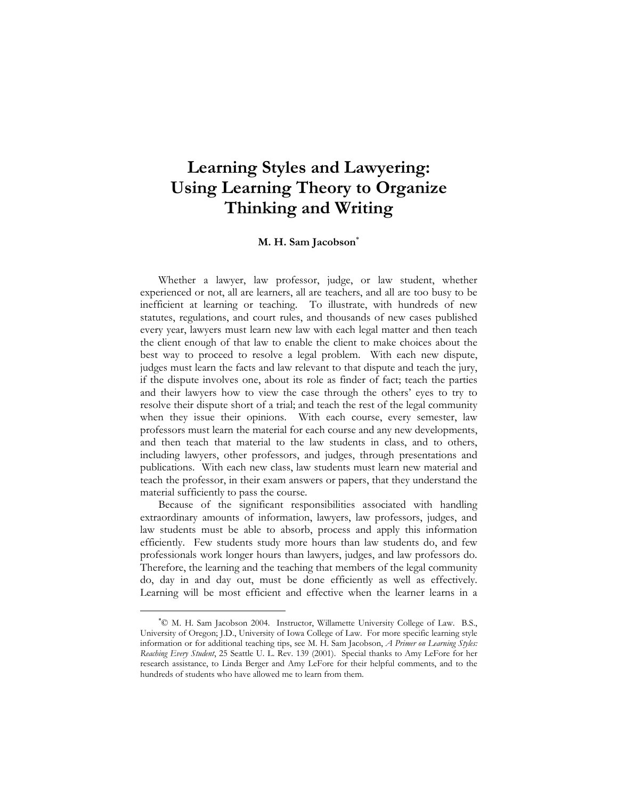# **Learning Styles and Lawyering: Using Learning Theory to Organize Thinking and Writing**

#### **M. H. Sam Jacobson**<sup>∗</sup>

 Whether a lawyer, law professor, judge, or law student, whether experienced or not, all are learners, all are teachers, and all are too busy to be inefficient at learning or teaching. To illustrate, with hundreds of new statutes, regulations, and court rules, and thousands of new cases published every year, lawyers must learn new law with each legal matter and then teach the client enough of that law to enable the client to make choices about the best way to proceed to resolve a legal problem. With each new dispute, judges must learn the facts and law relevant to that dispute and teach the jury, if the dispute involves one, about its role as finder of fact; teach the parties and their lawyers how to view the case through the others' eyes to try to resolve their dispute short of a trial; and teach the rest of the legal community when they issue their opinions. With each course, every semester, law professors must learn the material for each course and any new developments, and then teach that material to the law students in class, and to others, including lawyers, other professors, and judges, through presentations and publications. With each new class, law students must learn new material and teach the professor, in their exam answers or papers, that they understand the material sufficiently to pass the course.

 Because of the significant responsibilities associated with handling extraordinary amounts of information, lawyers, law professors, judges, and law students must be able to absorb, process and apply this information efficiently. Few students study more hours than law students do, and few professionals work longer hours than lawyers, judges, and law professors do. Therefore, the learning and the teaching that members of the legal community do, day in and day out, must be done efficiently as well as effectively. Learning will be most efficient and effective when the learner learns in a

<sup>∗</sup> © M. H. Sam Jacobson 2004. Instructor, Willamette University College of Law. B.S., University of Oregon; J.D., University of Iowa College of Law. For more specific learning style information or for additional teaching tips, see M. H. Sam Jacobson, *A Primer on Learning Styles: Reaching Every Student*, 25 Seattle U. L. Rev. 139 (2001). Special thanks to Amy LeFore for her research assistance, to Linda Berger and Amy LeFore for their helpful comments, and to the hundreds of students who have allowed me to learn from them.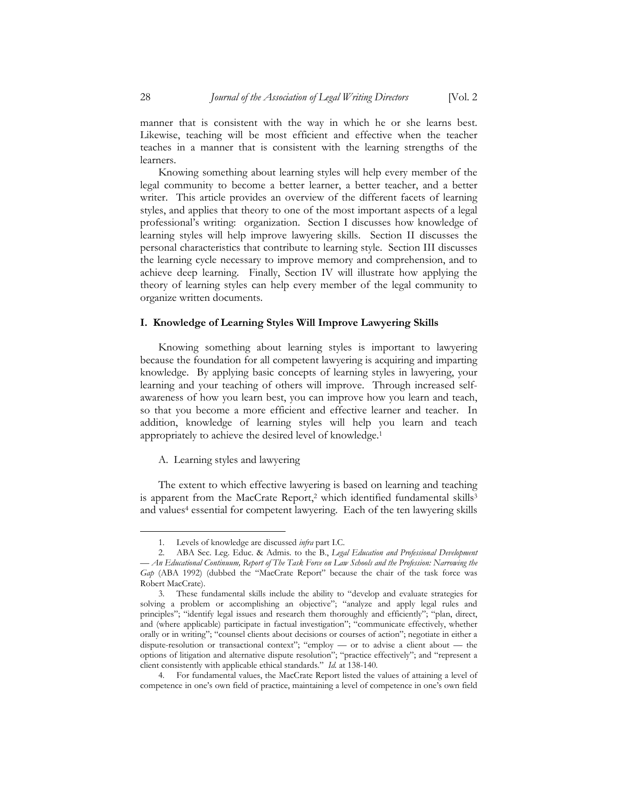manner that is consistent with the way in which he or she learns best. Likewise, teaching will be most efficient and effective when the teacher teaches in a manner that is consistent with the learning strengths of the learners.

 Knowing something about learning styles will help every member of the legal community to become a better learner, a better teacher, and a better writer. This article provides an overview of the different facets of learning styles, and applies that theory to one of the most important aspects of a legal professional's writing: organization. Section I discusses how knowledge of learning styles will help improve lawyering skills. Section II discusses the personal characteristics that contribute to learning style. Section III discusses the learning cycle necessary to improve memory and comprehension, and to achieve deep learning. Finally, Section IV will illustrate how applying the theory of learning styles can help every member of the legal community to organize written documents.

#### **I. Knowledge of Learning Styles Will Improve Lawyering Skills**

 Knowing something about learning styles is important to lawyering because the foundation for all competent lawyering is acquiring and imparting knowledge. By applying basic concepts of learning styles in lawyering, your learning and your teaching of others will improve. Through increased selfawareness of how you learn best, you can improve how you learn and teach, so that you become a more efficient and effective learner and teacher. In addition, knowledge of learning styles will help you learn and teach appropriately to achieve the desired level of knowledge.1

#### A. Learning styles and lawyering

 The extent to which effective lawyering is based on learning and teaching is apparent from the MacCrate Report,<sup>2</sup> which identified fundamental skills<sup>3</sup> and values<sup>4</sup> essential for competent lawyering. Each of the ten lawyering skills

<sup>1.</sup> Levels of knowledge are discussed *infra* part I.C.

<sup>2.</sup> ABA Sec. Leg. Educ. & Admis. to the B., *Legal Education and Professional Development — An Educational Continuum, Report of The Task Force on Law Schools and the Profession: Narrowing the Gap* (ABA 1992) (dubbed the "MacCrate Report" because the chair of the task force was Robert MacCrate).

<sup>3.</sup> These fundamental skills include the ability to "develop and evaluate strategies for solving a problem or accomplishing an objective"; "analyze and apply legal rules and principles"; "identify legal issues and research them thoroughly and efficiently"; "plan, direct, and (where applicable) participate in factual investigation"; "communicate effectively, whether orally or in writing"; "counsel clients about decisions or courses of action"; negotiate in either a dispute-resolution or transactional context"; "employ — or to advise a client about — the options of litigation and alternative dispute resolution"; "practice effectively"; and "represent a client consistently with applicable ethical standards." *Id.* at 138-140.

<sup>4.</sup> For fundamental values, the MacCrate Report listed the values of attaining a level of competence in one's own field of practice, maintaining a level of competence in one's own field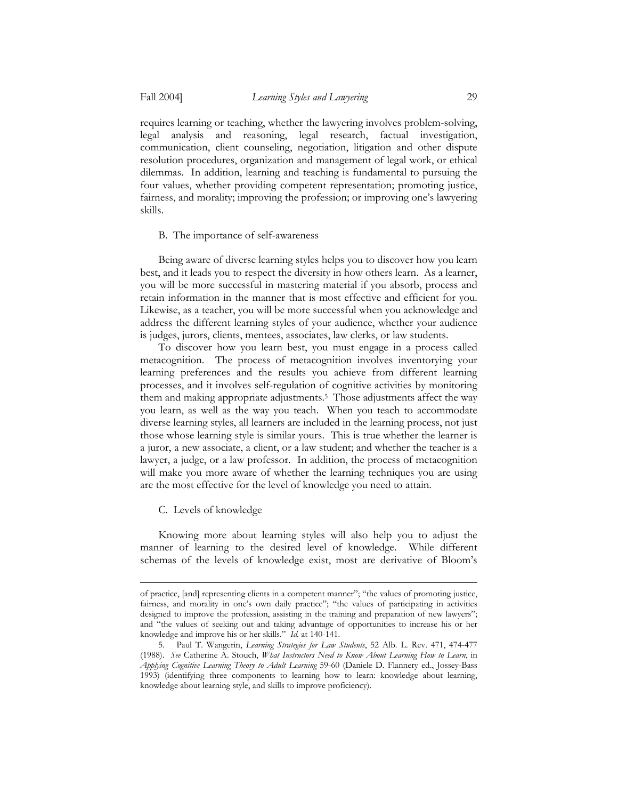requires learning or teaching, whether the lawyering involves problem-solving, legal analysis and reasoning, legal research, factual investigation, communication, client counseling, negotiation, litigation and other dispute resolution procedures, organization and management of legal work, or ethical dilemmas. In addition, learning and teaching is fundamental to pursuing the four values, whether providing competent representation; promoting justice, fairness, and morality; improving the profession; or improving one's lawyering skills.

## B. The importance of self-awareness

 Being aware of diverse learning styles helps you to discover how you learn best, and it leads you to respect the diversity in how others learn. As a learner, you will be more successful in mastering material if you absorb, process and retain information in the manner that is most effective and efficient for you. Likewise, as a teacher, you will be more successful when you acknowledge and address the different learning styles of your audience, whether your audience is judges, jurors, clients, mentees, associates, law clerks, or law students.

 To discover how you learn best, you must engage in a process called metacognition. The process of metacognition involves inventorying your learning preferences and the results you achieve from different learning processes, and it involves self-regulation of cognitive activities by monitoring them and making appropriate adjustments.5 Those adjustments affect the way you learn, as well as the way you teach. When you teach to accommodate diverse learning styles, all learners are included in the learning process, not just those whose learning style is similar yours. This is true whether the learner is a juror, a new associate, a client, or a law student; and whether the teacher is a lawyer, a judge, or a law professor. In addition, the process of metacognition will make you more aware of whether the learning techniques you are using are the most effective for the level of knowledge you need to attain.

## C. Levels of knowledge

<u>.</u>

 Knowing more about learning styles will also help you to adjust the manner of learning to the desired level of knowledge. While different schemas of the levels of knowledge exist, most are derivative of Bloom's

of practice, [and] representing clients in a competent manner"; "the values of promoting justice, fairness, and morality in one's own daily practice"; "the values of participating in activities designed to improve the profession, assisting in the training and preparation of new lawyers"; and "the values of seeking out and taking advantage of opportunities to increase his or her knowledge and improve his or her skills." *Id.* at 140-141.

<sup>5.</sup> Paul T. Wangerin, *Learning Strategies for Law Students*, 52 Alb. L. Rev. 471, 474-477 (1988). *See* Catherine A. Stouch, *What Instructors Need to Know About Learning How to Learn*, in *Applying Cognitive Learning Theory to Adult Learning* 59-60 (Daniele D. Flannery ed., Jossey-Bass 1993) (identifying three components to learning how to learn: knowledge about learning, knowledge about learning style, and skills to improve proficiency).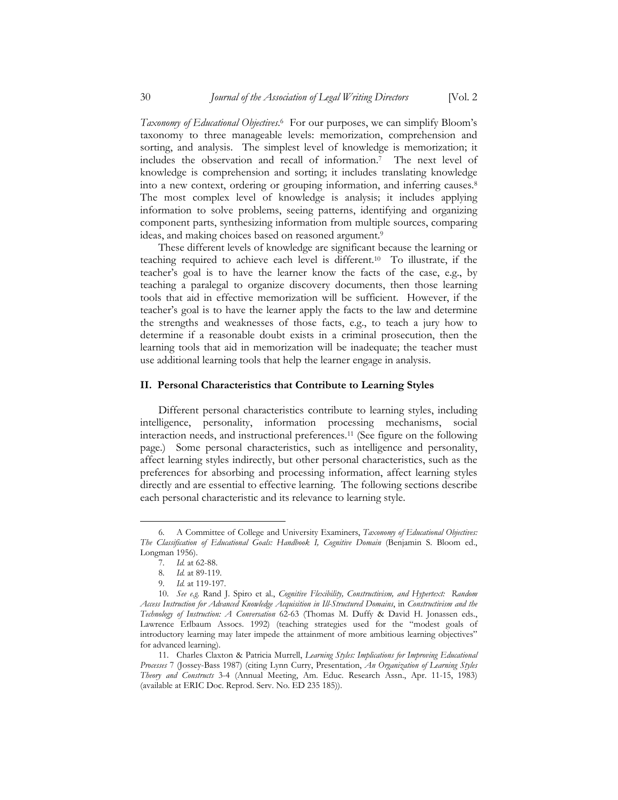*Taxonomy of Educational Objectives*. 6 For our purposes, we can simplify Bloom's taxonomy to three manageable levels: memorization, comprehension and sorting, and analysis. The simplest level of knowledge is memorization; it includes the observation and recall of information.7 The next level of knowledge is comprehension and sorting; it includes translating knowledge into a new context, ordering or grouping information, and inferring causes.8 The most complex level of knowledge is analysis; it includes applying information to solve problems, seeing patterns, identifying and organizing component parts, synthesizing information from multiple sources, comparing ideas, and making choices based on reasoned argument.9

 These different levels of knowledge are significant because the learning or teaching required to achieve each level is different.10 To illustrate, if the teacher's goal is to have the learner know the facts of the case, e.g., by teaching a paralegal to organize discovery documents, then those learning tools that aid in effective memorization will be sufficient. However, if the teacher's goal is to have the learner apply the facts to the law and determine the strengths and weaknesses of those facts, e.g., to teach a jury how to determine if a reasonable doubt exists in a criminal prosecution, then the learning tools that aid in memorization will be inadequate; the teacher must use additional learning tools that help the learner engage in analysis.

#### **II. Personal Characteristics that Contribute to Learning Styles**

 Different personal characteristics contribute to learning styles, including intelligence, personality, information processing mechanisms, social interaction needs, and instructional preferences.11 (See figure on the following page.) Some personal characteristics, such as intelligence and personality, affect learning styles indirectly, but other personal characteristics, such as the preferences for absorbing and processing information, affect learning styles directly and are essential to effective learning. The following sections describe each personal characteristic and its relevance to learning style.

<sup>6.</sup> A Committee of College and University Examiners, *Taxonomy of Educational Objectives: The Classification of Educational Goals: Handbook I, Cognitive Domain* (Benjamin S. Bloom ed., Longman 1956).

<sup>7.</sup> *Id.* at 62-88.

<sup>8.</sup> *Id.* at 89-119.

<sup>9.</sup> *Id.* at 119-197.

<sup>10.</sup> *See e.g.* Rand J. Spiro et al., *Cognitive Flexibility, Constructivism, and Hypertext: Random Access Instruction for Advanced Knowledge Acquisition in Ill-Structured Domains*, in *Constructivism and the Technology of Instruction: A Conversation* 62-63 (Thomas M. Duffy & David H. Jonassen eds., Lawrence Erlbaum Assocs. 1992) (teaching strategies used for the "modest goals of introductory learning may later impede the attainment of more ambitious learning objectives" for advanced learning).

<sup>11.</sup> Charles Claxton & Patricia Murrell, *Learning Styles: Implications for Improving Educational Processes* 7 (Jossey-Bass 1987) (citing Lynn Curry, Presentation, *An Organization of Learning Styles Theory and Constructs* 3-4 (Annual Meeting, Am. Educ. Research Assn., Apr. 11-15, 1983) (available at ERIC Doc. Reprod. Serv. No. ED 235 185)).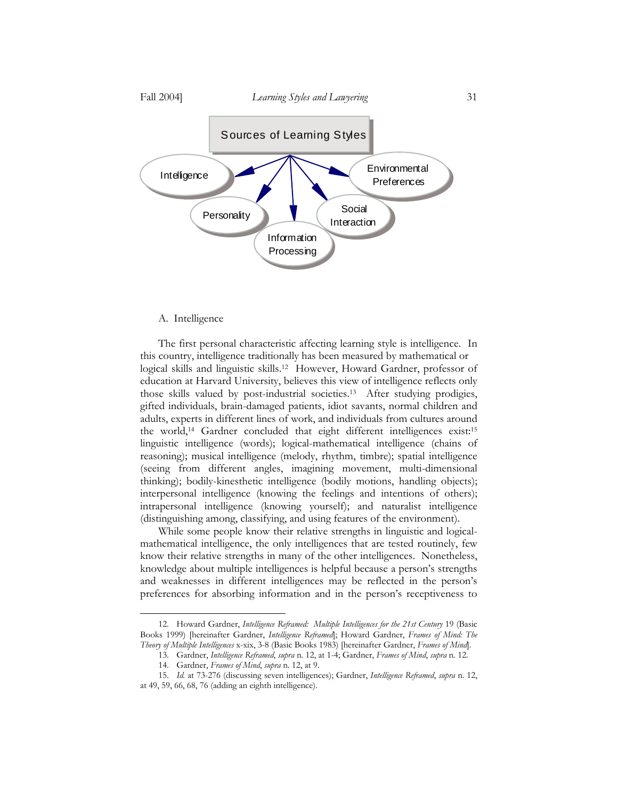

#### A. Intelligence

<u>.</u>

 The first personal characteristic affecting learning style is intelligence. In this country, intelligence traditionally has been measured by mathematical or logical skills and linguistic skills.12 However, Howard Gardner, professor of education at Harvard University, believes this view of intelligence reflects only those skills valued by post-industrial societies.13 After studying prodigies, gifted individuals, brain-damaged patients, idiot savants, normal children and adults, experts in different lines of work, and individuals from cultures around the world,14 Gardner concluded that eight different intelligences exist:15 linguistic intelligence (words); logical-mathematical intelligence (chains of reasoning); musical intelligence (melody, rhythm, timbre); spatial intelligence (seeing from different angles, imagining movement, multi-dimensional thinking); bodily-kinesthetic intelligence (bodily motions, handling objects); interpersonal intelligence (knowing the feelings and intentions of others); intrapersonal intelligence (knowing yourself); and naturalist intelligence (distinguishing among, classifying, and using features of the environment).

 While some people know their relative strengths in linguistic and logicalmathematical intelligence, the only intelligences that are tested routinely, few know their relative strengths in many of the other intelligences. Nonetheless, knowledge about multiple intelligences is helpful because a person's strengths and weaknesses in different intelligences may be reflected in the person's preferences for absorbing information and in the person's receptiveness to

<sup>12.</sup> Howard Gardner, *Intelligence Reframed: Multiple Intelligences for the 21st Century* 19 (Basic Books 1999) [hereinafter Gardner, *Intelligence Reframed*]; Howard Gardner, *Frames of Mind: The Theory of Multiple Intelligences* x-xix, 3-8 (Basic Books 1983) [hereinafter Gardner, *Frames of Mind*].

<sup>13.</sup> Gardner, *Intelligence Reframed*, *supra* n. 12, at 1-4; Gardner, *Frames of Mind*, *supra* n. 12.

<sup>14.</sup> Gardner, *Frames of Mind*, *supra* n. 12, at 9.

<sup>15.</sup> *Id.* at 73-276 (discussing seven intelligences); Gardner, *Intelligence Reframed*, *supra* n. 12, at 49, 59, 66, 68, 76 (adding an eighth intelligence).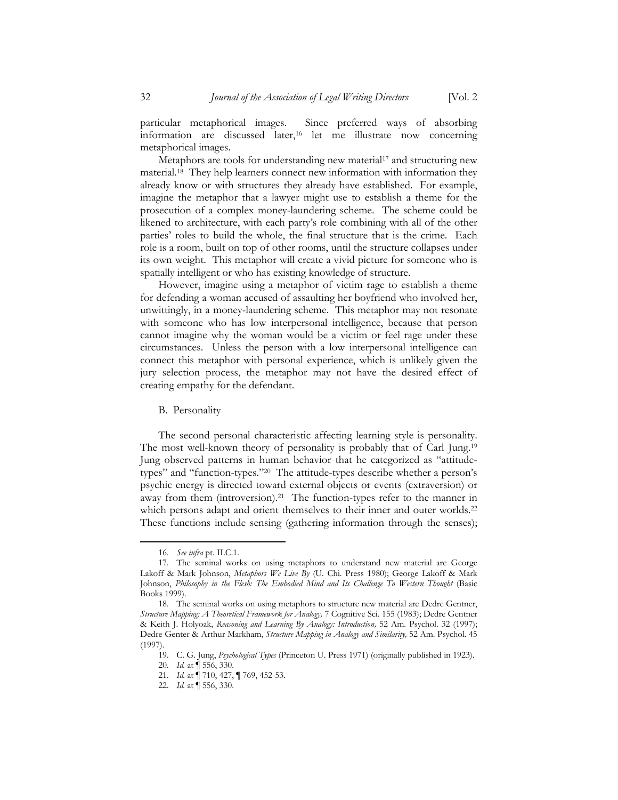particular metaphorical images. Since preferred ways of absorbing information are discussed later,16 let me illustrate now concerning metaphorical images.

Metaphors are tools for understanding new material<sup>17</sup> and structuring new material.18 They help learners connect new information with information they already know or with structures they already have established. For example, imagine the metaphor that a lawyer might use to establish a theme for the prosecution of a complex money-laundering scheme. The scheme could be likened to architecture, with each party's role combining with all of the other parties' roles to build the whole, the final structure that is the crime. Each role is a room, built on top of other rooms, until the structure collapses under its own weight. This metaphor will create a vivid picture for someone who is spatially intelligent or who has existing knowledge of structure.

 However, imagine using a metaphor of victim rage to establish a theme for defending a woman accused of assaulting her boyfriend who involved her, unwittingly, in a money-laundering scheme. This metaphor may not resonate with someone who has low interpersonal intelligence, because that person cannot imagine why the woman would be a victim or feel rage under these circumstances. Unless the person with a low interpersonal intelligence can connect this metaphor with personal experience, which is unlikely given the jury selection process, the metaphor may not have the desired effect of creating empathy for the defendant.

#### B. Personality

 The second personal characteristic affecting learning style is personality. The most well-known theory of personality is probably that of Carl Jung.19 Jung observed patterns in human behavior that he categorized as "attitudetypes" and "function-types."20 The attitude-types describe whether a person's psychic energy is directed toward external objects or events (extraversion) or away from them (introversion).21 The function-types refer to the manner in which persons adapt and orient themselves to their inner and outer worlds.<sup>22</sup> These functions include sensing (gathering information through the senses);

<sup>16.</sup> *See infra* pt. II.C.1.

<sup>17.</sup> The seminal works on using metaphors to understand new material are George Lakoff & Mark Johnson, *Metaphors We Live By* (U. Chi. Press 1980); George Lakoff & Mark Johnson, *Philosophy in the Flesh: The Embodied Mind and Its Challenge To Western Thought* (Basic Books 1999).

<sup>18.</sup> The seminal works on using metaphors to structure new material are Dedre Gentner, *Structure Mapping: A Theoretical Framework for Analogy,* 7 Cognitive Sci. 155 (1983); Dedre Gentner & Keith J. Holyoak, *Reasoning and Learning By Analogy: Introduction,* 52 Am. Psychol. 32 (1997); Dedre Genter & Arthur Markham, *Structure Mapping in Analogy and Similarity,* 52 Am. Psychol. 45 (1997).

<sup>19.</sup> C. G. Jung, *Psychological Types* (Princeton U. Press 1971) (originally published in 1923).

<sup>20.</sup> *Id.* at ¶ 556, 330.

<sup>21.</sup> *Id.* at ¶ 710, 427, ¶ 769, 452-53.

<sup>22.</sup> *Id.* at ¶ 556, 330.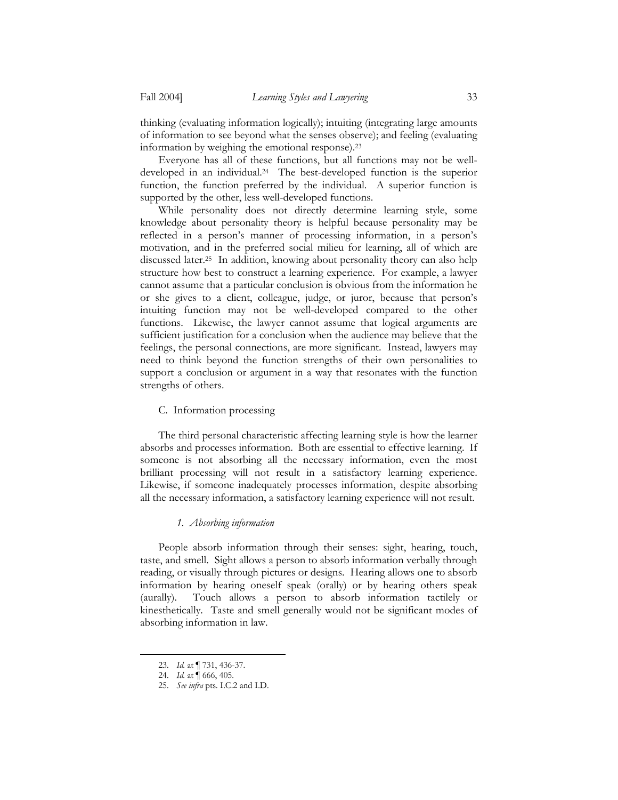thinking (evaluating information logically); intuiting (integrating large amounts of information to see beyond what the senses observe); and feeling (evaluating information by weighing the emotional response).23

 Everyone has all of these functions, but all functions may not be welldeveloped in an individual.24 The best-developed function is the superior function, the function preferred by the individual. A superior function is supported by the other, less well-developed functions.

 While personality does not directly determine learning style, some knowledge about personality theory is helpful because personality may be reflected in a person's manner of processing information, in a person's motivation, and in the preferred social milieu for learning, all of which are discussed later.25 In addition, knowing about personality theory can also help structure how best to construct a learning experience. For example, a lawyer cannot assume that a particular conclusion is obvious from the information he or she gives to a client, colleague, judge, or juror, because that person's intuiting function may not be well-developed compared to the other functions. Likewise, the lawyer cannot assume that logical arguments are sufficient justification for a conclusion when the audience may believe that the feelings, the personal connections, are more significant. Instead, lawyers may need to think beyond the function strengths of their own personalities to support a conclusion or argument in a way that resonates with the function strengths of others.

## C. Information processing

 The third personal characteristic affecting learning style is how the learner absorbs and processes information. Both are essential to effective learning. If someone is not absorbing all the necessary information, even the most brilliant processing will not result in a satisfactory learning experience. Likewise, if someone inadequately processes information, despite absorbing all the necessary information, a satisfactory learning experience will not result.

## *1. Absorbing information*

 People absorb information through their senses: sight, hearing, touch, taste, and smell. Sight allows a person to absorb information verbally through reading, or visually through pictures or designs. Hearing allows one to absorb information by hearing oneself speak (orally) or by hearing others speak (aurally). Touch allows a person to absorb information tactilely or kinesthetically. Taste and smell generally would not be significant modes of absorbing information in law.

<sup>23.</sup> *Id.* at ¶ 731, 436-37.

<sup>24.</sup> *Id.* at ¶ 666, 405.

<sup>25.</sup> *See infra* pts. I.C.2 and I.D.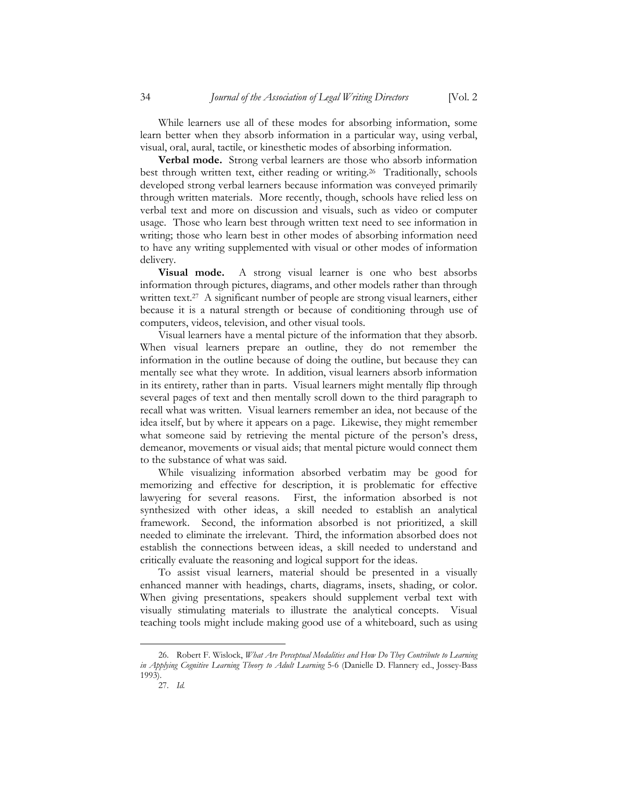visual, oral, aural, tactile, or kinesthetic modes of absorbing information. **Verbal mode.** Strong verbal learners are those who absorb information best through written text, either reading or writing.<sup>26</sup> Traditionally, schools developed strong verbal learners because information was conveyed primarily through written materials. More recently, though, schools have relied less on verbal text and more on discussion and visuals, such as video or computer usage. Those who learn best through written text need to see information in writing; those who learn best in other modes of absorbing information need to have any writing supplemented with visual or other modes of information delivery.

**Visual mode.** A strong visual learner is one who best absorbs information through pictures, diagrams, and other models rather than through written text.<sup>27</sup> A significant number of people are strong visual learners, either because it is a natural strength or because of conditioning through use of computers, videos, television, and other visual tools.

 Visual learners have a mental picture of the information that they absorb. When visual learners prepare an outline, they do not remember the information in the outline because of doing the outline, but because they can mentally see what they wrote. In addition, visual learners absorb information in its entirety, rather than in parts. Visual learners might mentally flip through several pages of text and then mentally scroll down to the third paragraph to recall what was written. Visual learners remember an idea, not because of the idea itself, but by where it appears on a page. Likewise, they might remember what someone said by retrieving the mental picture of the person's dress, demeanor, movements or visual aids; that mental picture would connect them to the substance of what was said.

 While visualizing information absorbed verbatim may be good for memorizing and effective for description, it is problematic for effective lawyering for several reasons. First, the information absorbed is not synthesized with other ideas, a skill needed to establish an analytical framework. Second, the information absorbed is not prioritized, a skill needed to eliminate the irrelevant. Third, the information absorbed does not establish the connections between ideas, a skill needed to understand and critically evaluate the reasoning and logical support for the ideas.

 To assist visual learners, material should be presented in a visually enhanced manner with headings, charts, diagrams, insets, shading, or color. When giving presentations, speakers should supplement verbal text with visually stimulating materials to illustrate the analytical concepts. Visual teaching tools might include making good use of a whiteboard, such as using

<sup>26.</sup> Robert F. Wislock, *What Are Perceptual Modalities and How Do They Contribute to Learning in Applying Cognitive Learning Theory to Adult Learning* 5-6 (Danielle D. Flannery ed., Jossey-Bass 1993).

<sup>27.</sup> *Id.*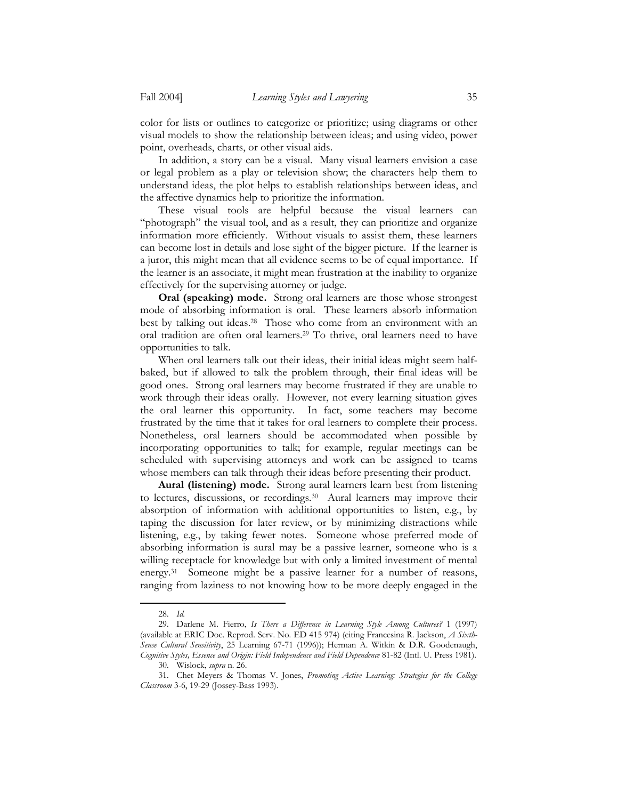color for lists or outlines to categorize or prioritize; using diagrams or other visual models to show the relationship between ideas; and using video, power point, overheads, charts, or other visual aids.

 In addition, a story can be a visual. Many visual learners envision a case or legal problem as a play or television show; the characters help them to understand ideas, the plot helps to establish relationships between ideas, and the affective dynamics help to prioritize the information.

 These visual tools are helpful because the visual learners can "photograph" the visual tool, and as a result, they can prioritize and organize information more efficiently. Without visuals to assist them, these learners can become lost in details and lose sight of the bigger picture. If the learner is a juror, this might mean that all evidence seems to be of equal importance. If the learner is an associate, it might mean frustration at the inability to organize effectively for the supervising attorney or judge.

**Oral (speaking) mode.**Strong oral learners are those whose strongest mode of absorbing information is oral. These learners absorb information best by talking out ideas.28 Those who come from an environment with an oral tradition are often oral learners.29 To thrive, oral learners need to have opportunities to talk.

 When oral learners talk out their ideas, their initial ideas might seem halfbaked, but if allowed to talk the problem through, their final ideas will be good ones. Strong oral learners may become frustrated if they are unable to work through their ideas orally. However, not every learning situation gives the oral learner this opportunity. In fact, some teachers may become frustrated by the time that it takes for oral learners to complete their process. Nonetheless, oral learners should be accommodated when possible by incorporating opportunities to talk; for example, regular meetings can be scheduled with supervising attorneys and work can be assigned to teams whose members can talk through their ideas before presenting their product.

**Aural (listening) mode.** Strong aural learners learn best from listening to lectures, discussions, or recordings.30 Aural learners may improve their absorption of information with additional opportunities to listen, e.g., by taping the discussion for later review, or by minimizing distractions while listening, e.g., by taking fewer notes. Someone whose preferred mode of absorbing information is aural may be a passive learner, someone who is a willing receptacle for knowledge but with only a limited investment of mental energy.<sup>31</sup> Someone might be a passive learner for a number of reasons, ranging from laziness to not knowing how to be more deeply engaged in the

<sup>28.</sup> *Id.*

<sup>29.</sup> Darlene M. Fierro, *Is There a Difference in Learning Style Among Cultures?* 1 (1997) (available at ERIC Doc. Reprod. Serv. No. ED 415 974) (citing Francesina R. Jackson, *A Sixth-Sense Cultural Sensitivity*, 25 Learning 67-71 (1996)); Herman A. Witkin & D.R. Goodenaugh, *Cognitive Styles, Essence and Origin: Field Independence and Field Dependence* 81-82 (Intl. U. Press 1981).

<sup>30.</sup> Wislock, *supra* n. 26.

<sup>31.</sup> Chet Meyers & Thomas V. Jones, *Promoting Active Learning: Strategies for the College Classroom* 3-6, 19-29 (Jossey-Bass 1993).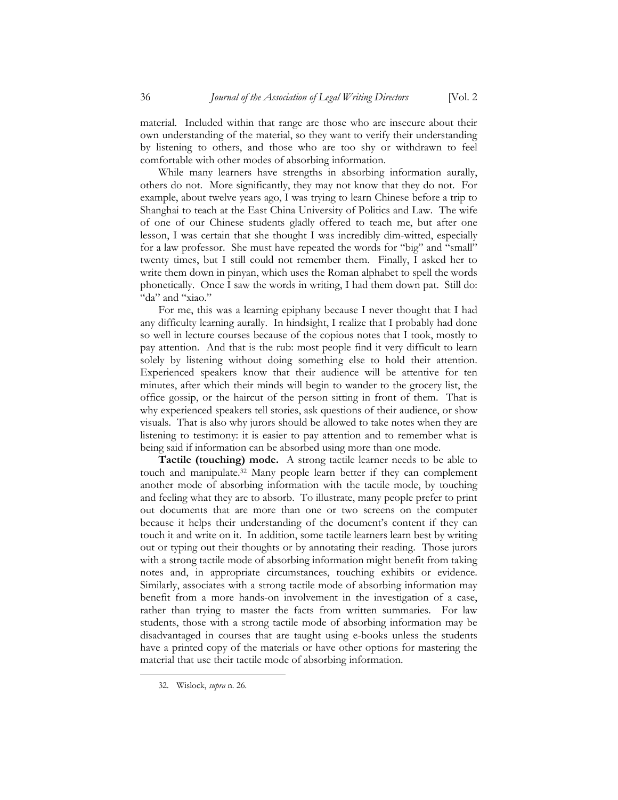material. Included within that range are those who are insecure about their own understanding of the material, so they want to verify their understanding by listening to others, and those who are too shy or withdrawn to feel comfortable with other modes of absorbing information.

 While many learners have strengths in absorbing information aurally, others do not. More significantly, they may not know that they do not. For example, about twelve years ago, I was trying to learn Chinese before a trip to Shanghai to teach at the East China University of Politics and Law. The wife of one of our Chinese students gladly offered to teach me, but after one lesson, I was certain that she thought I was incredibly dim-witted, especially for a law professor. She must have repeated the words for "big" and "small" twenty times, but I still could not remember them. Finally, I asked her to write them down in pinyan, which uses the Roman alphabet to spell the words phonetically. Once I saw the words in writing, I had them down pat. Still do: "da" and "xiao."

 For me, this was a learning epiphany because I never thought that I had any difficulty learning aurally. In hindsight, I realize that I probably had done so well in lecture courses because of the copious notes that I took, mostly to pay attention. And that is the rub: most people find it very difficult to learn solely by listening without doing something else to hold their attention. Experienced speakers know that their audience will be attentive for ten minutes, after which their minds will begin to wander to the grocery list, the office gossip, or the haircut of the person sitting in front of them. That is why experienced speakers tell stories, ask questions of their audience, or show visuals. That is also why jurors should be allowed to take notes when they are listening to testimony: it is easier to pay attention and to remember what is being said if information can be absorbed using more than one mode.

**Tactile (touching) mode.** A strong tactile learner needs to be able to touch and manipulate.32 Many people learn better if they can complement another mode of absorbing information with the tactile mode, by touching and feeling what they are to absorb. To illustrate, many people prefer to print out documents that are more than one or two screens on the computer because it helps their understanding of the document's content if they can touch it and write on it. In addition, some tactile learners learn best by writing out or typing out their thoughts or by annotating their reading. Those jurors with a strong tactile mode of absorbing information might benefit from taking notes and, in appropriate circumstances, touching exhibits or evidence. Similarly, associates with a strong tactile mode of absorbing information may benefit from a more hands-on involvement in the investigation of a case, rather than trying to master the facts from written summaries. For law students, those with a strong tactile mode of absorbing information may be disadvantaged in courses that are taught using e-books unless the students have a printed copy of the materials or have other options for mastering the material that use their tactile mode of absorbing information.

<sup>32.</sup> Wislock, *supra* n. 26*.*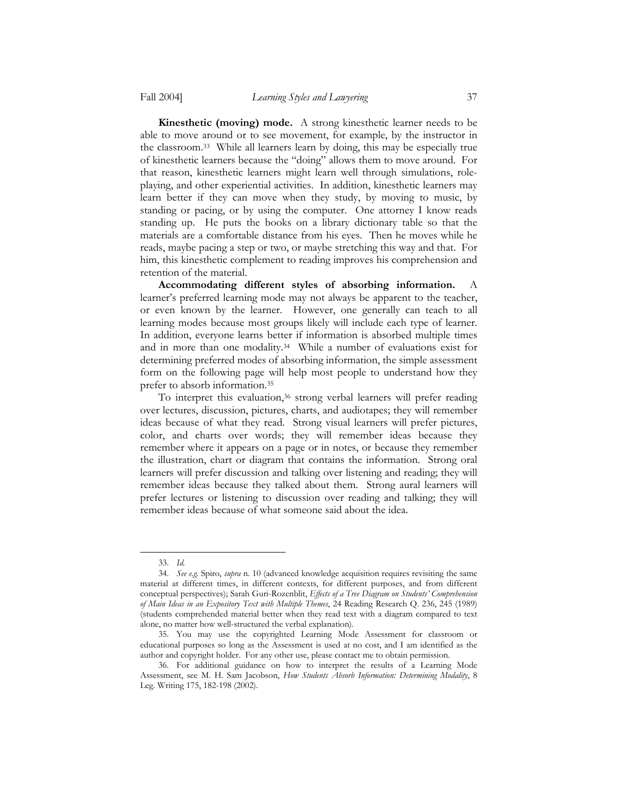**Kinesthetic (moving) mode.**A strong kinesthetic learner needs to be able to move around or to see movement, for example, by the instructor in the classroom.33 While all learners learn by doing, this may be especially true of kinesthetic learners because the "doing" allows them to move around. For that reason, kinesthetic learners might learn well through simulations, roleplaying, and other experiential activities. In addition, kinesthetic learners may learn better if they can move when they study, by moving to music, by standing or pacing, or by using the computer. One attorney I know reads standing up. He puts the books on a library dictionary table so that the materials are a comfortable distance from his eyes. Then he moves while he reads, maybe pacing a step or two, or maybe stretching this way and that. For him, this kinesthetic complement to reading improves his comprehension and retention of the material.

**Accommodating different styles of absorbing information.**A learner's preferred learning mode may not always be apparent to the teacher, or even known by the learner. However, one generally can teach to all learning modes because most groups likely will include each type of learner. In addition, everyone learns better if information is absorbed multiple times and in more than one modality.34 While a number of evaluations exist for determining preferred modes of absorbing information, the simple assessment form on the following page will help most people to understand how they prefer to absorb information.35

To interpret this evaluation,<sup>36</sup> strong verbal learners will prefer reading over lectures, discussion, pictures, charts, and audiotapes; they will remember ideas because of what they read. Strong visual learners will prefer pictures, color, and charts over words; they will remember ideas because they remember where it appears on a page or in notes, or because they remember the illustration, chart or diagram that contains the information. Strong oral learners will prefer discussion and talking over listening and reading; they will remember ideas because they talked about them. Strong aural learners will prefer lectures or listening to discussion over reading and talking; they will remember ideas because of what someone said about the idea.

<sup>33.</sup> *Id.*

<sup>34.</sup> *See e.g.* Spiro, *supra* n. 10 (advanced knowledge acquisition requires revisiting the same material at different times, in different contexts, for different purposes, and from different conceptual perspectives); Sarah Guri-Rozenblit, *Effects of a Tree Diagram on Students' Comprehension of Main Ideas in an Expository Text with Multiple Themes*, 24 Reading Research Q. 236, 245 (1989) (students comprehended material better when they read text with a diagram compared to text alone, no matter how well-structured the verbal explanation).

<sup>35.</sup> You may use the copyrighted Learning Mode Assessment for classroom or educational purposes so long as the Assessment is used at no cost, and I am identified as the author and copyright holder. For any other use, please contact me to obtain permission.

<sup>36.</sup> For additional guidance on how to interpret the results of a Learning Mode Assessment, see M. H. Sam Jacobson, *How Students Absorb Information: Determining Modality*, 8 Leg. Writing 175, 182-198 (2002).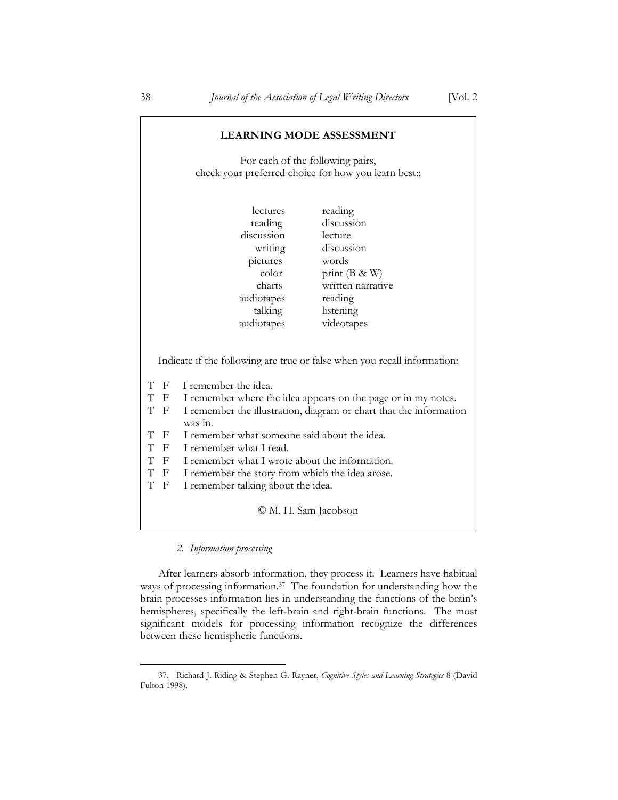| <b>LEARNING MODE ASSESSMENT</b>                                                                                                                                                                                                                                                                                                                                                                                                                                                                                                       |                       |                       |
|---------------------------------------------------------------------------------------------------------------------------------------------------------------------------------------------------------------------------------------------------------------------------------------------------------------------------------------------------------------------------------------------------------------------------------------------------------------------------------------------------------------------------------------|-----------------------|-----------------------|
| For each of the following pairs,                                                                                                                                                                                                                                                                                                                                                                                                                                                                                                      |                       |                       |
| check your preferred choice for how you learn best::                                                                                                                                                                                                                                                                                                                                                                                                                                                                                  |                       |                       |
|                                                                                                                                                                                                                                                                                                                                                                                                                                                                                                                                       | <i>lectures</i>       | reading               |
|                                                                                                                                                                                                                                                                                                                                                                                                                                                                                                                                       | reading<br>discussion | discussion<br>lecture |
|                                                                                                                                                                                                                                                                                                                                                                                                                                                                                                                                       | writing               | discussion            |
|                                                                                                                                                                                                                                                                                                                                                                                                                                                                                                                                       | pictures              | words                 |
|                                                                                                                                                                                                                                                                                                                                                                                                                                                                                                                                       | color                 | print $(B \& W)$      |
|                                                                                                                                                                                                                                                                                                                                                                                                                                                                                                                                       | charts                | written narrative     |
|                                                                                                                                                                                                                                                                                                                                                                                                                                                                                                                                       | audiotapes            | reading               |
|                                                                                                                                                                                                                                                                                                                                                                                                                                                                                                                                       | talking               | listening             |
|                                                                                                                                                                                                                                                                                                                                                                                                                                                                                                                                       | audiotapes            | videotapes            |
| Indicate if the following are true or false when you recall information:<br>T F<br>I remember the idea.<br>T F<br>I remember where the idea appears on the page or in my notes.<br>T F<br>I remember the illustration, diagram or chart that the information<br>was in.<br>T F<br>I remember what someone said about the idea.<br>T F I remember what I read.<br>T F I remember what I wrote about the information.<br>T F I remember the story from which the idea arose.<br>T<br>$\mathbf{F}$<br>I remember talking about the idea. |                       |                       |
| © M. H. Sam Jacobson                                                                                                                                                                                                                                                                                                                                                                                                                                                                                                                  |                       |                       |

## *2. Information processing*

<u>.</u>

 After learners absorb information, they process it. Learners have habitual ways of processing information.37 The foundation for understanding how the brain processes information lies in understanding the functions of the brain's hemispheres, specifically the left-brain and right-brain functions. The most significant models for processing information recognize the differences between these hemispheric functions.

Г

<sup>37.</sup> Richard J. Riding & Stephen G. Rayner, *Cognitive Styles and Learning Strategies* 8 (David Fulton 1998).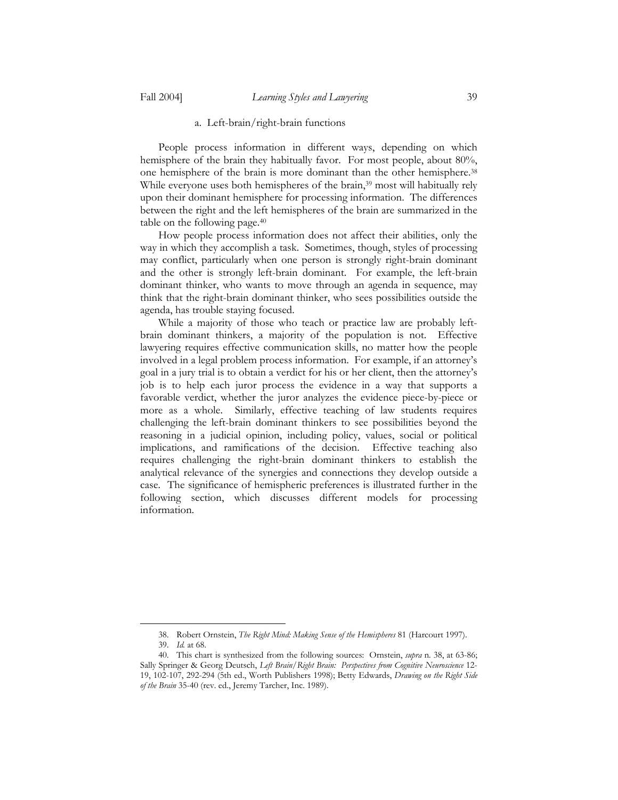## a. Left-brain/right-brain functions

 People process information in different ways, depending on which hemisphere of the brain they habitually favor. For most people, about 80%, one hemisphere of the brain is more dominant than the other hemisphere.38 While everyone uses both hemispheres of the brain,<sup>39</sup> most will habitually rely upon their dominant hemisphere for processing information. The differences between the right and the left hemispheres of the brain are summarized in the table on the following page.40

 How people process information does not affect their abilities, only the way in which they accomplish a task. Sometimes, though, styles of processing may conflict, particularly when one person is strongly right-brain dominant and the other is strongly left-brain dominant. For example, the left-brain dominant thinker, who wants to move through an agenda in sequence, may think that the right-brain dominant thinker, who sees possibilities outside the agenda, has trouble staying focused.

 While a majority of those who teach or practice law are probably leftbrain dominant thinkers, a majority of the population is not. Effective lawyering requires effective communication skills, no matter how the people involved in a legal problem process information. For example, if an attorney's goal in a jury trial is to obtain a verdict for his or her client, then the attorney's job is to help each juror process the evidence in a way that supports a favorable verdict, whether the juror analyzes the evidence piece-by-piece or more as a whole. Similarly, effective teaching of law students requires challenging the left-brain dominant thinkers to see possibilities beyond the reasoning in a judicial opinion, including policy, values, social or political implications, and ramifications of the decision. Effective teaching also requires challenging the right-brain dominant thinkers to establish the analytical relevance of the synergies and connections they develop outside a case. The significance of hemispheric preferences is illustrated further in the following section, which discusses different models for processing information.

<sup>38.</sup> Robert Ornstein, *The Right Mind: Making Sense of the Hemispheres* 81 (Harcourt 1997).

<sup>39.</sup> *Id.* at 68.

<sup>40.</sup> This chart is synthesized from the following sources: Ornstein, *supra* n. 38, at 63-86; Sally Springer & Georg Deutsch, *Left Brain/Right Brain: Perspectives from Cognitive Neuroscience* 12- 19, 102-107, 292-294 (5th ed., Worth Publishers 1998); Betty Edwards, *Drawing on the Right Side of the Brain* 35-40 (rev. ed., Jeremy Tarcher, Inc. 1989).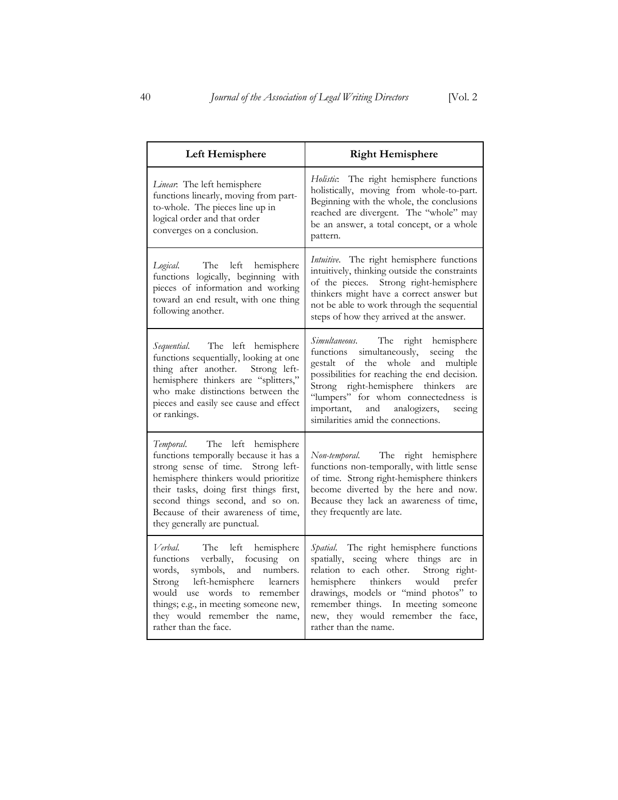| Left Hemisphere                                                                                                                                                                                                                                                                                           | <b>Right Hemisphere</b>                                                                                                                                                                                                                                                                                                             |  |
|-----------------------------------------------------------------------------------------------------------------------------------------------------------------------------------------------------------------------------------------------------------------------------------------------------------|-------------------------------------------------------------------------------------------------------------------------------------------------------------------------------------------------------------------------------------------------------------------------------------------------------------------------------------|--|
| Linear: The left hemisphere<br>functions linearly, moving from part-<br>to-whole. The pieces line up in<br>logical order and that order<br>converges on a conclusion.                                                                                                                                     | Holistic. The right hemisphere functions<br>holistically, moving from whole-to-part.<br>Beginning with the whole, the conclusions<br>reached are divergent. The "whole" may<br>be an answer, a total concept, or a whole<br>pattern.                                                                                                |  |
| Logical. The left hemisphere<br>functions logically, beginning with<br>pieces of information and working<br>toward an end result, with one thing<br>following another.                                                                                                                                    | Intuitive. The right hemisphere functions<br>intuitively, thinking outside the constraints<br>of the pieces. Strong right-hemisphere<br>thinkers might have a correct answer but<br>not be able to work through the sequential<br>steps of how they arrived at the answer.                                                          |  |
| Sequential. The left hemisphere<br>functions sequentially, looking at one<br>thing after another. Strong left-<br>hemisphere thinkers are "splitters,"<br>who make distinctions between the<br>pieces and easily see cause and effect<br>or rankings.                                                     | Simultaneous. The<br>right hemisphere<br>functions simultaneously, seeing the<br>gestalt of the whole and multiple<br>possibilities for reaching the end decision.<br>Strong right-hemisphere thinkers<br>are<br>"lumpers" for whom connectedness is<br>important, and analogizers,<br>seeing<br>similarities amid the connections. |  |
| Temporal. The left hemisphere<br>functions temporally because it has a<br>strong sense of time. Strong left-<br>hemisphere thinkers would prioritize<br>their tasks, doing first things first,<br>second things second, and so on.<br>Because of their awareness of time,<br>they generally are punctual. | Non-temporal. The right hemisphere<br>functions non-temporally, with little sense<br>of time. Strong right-hemisphere thinkers<br>become diverted by the here and now.<br>Because they lack an awareness of time,<br>they frequently are late.                                                                                      |  |
| Verbal. The left hemisphere<br>functions verbally, focusing on<br>words, symbols, and numbers.<br>Strong left-hemisphere learners<br>would use words to remember<br>things; e.g., in meeting someone new,<br>they would remember the name,<br>rather than the face.                                       | Spatial. The right hemisphere functions<br>spatially, seeing where things are in<br>relation to each other. Strong right-<br>hemisphere thinkers would prefer<br>drawings, models or "mind photos" to<br>remember things. In meeting someone<br>new, they would remember the face,<br>rather than the name.                         |  |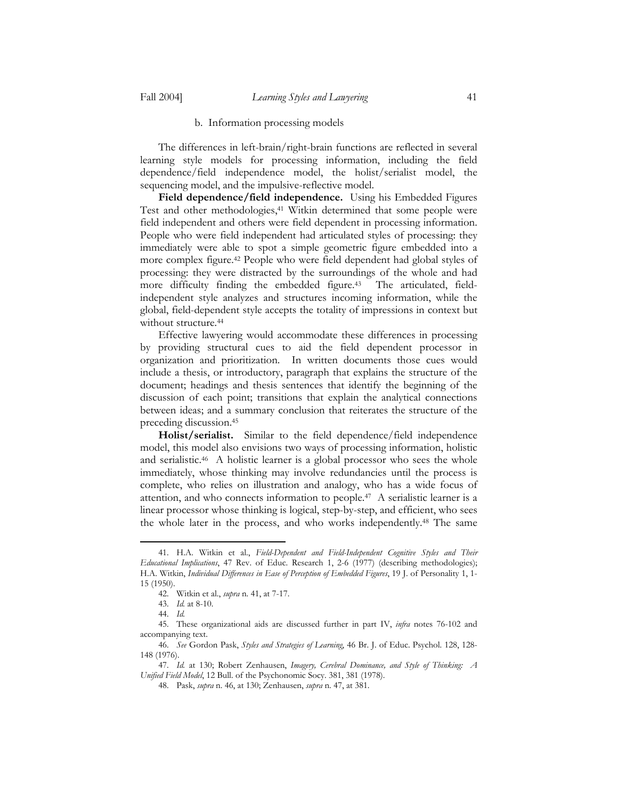#### b. Information processing models

 The differences in left-brain/right-brain functions are reflected in several learning style models for processing information, including the field dependence/field independence model, the holist/serialist model, the sequencing model, and the impulsive-reflective model.

**Field dependence/field independence.** Using his Embedded Figures Test and other methodologies,<sup>41</sup> Witkin determined that some people were field independent and others were field dependent in processing information. People who were field independent had articulated styles of processing: they immediately were able to spot a simple geometric figure embedded into a more complex figure.42 People who were field dependent had global styles of processing: they were distracted by the surroundings of the whole and had more difficulty finding the embedded figure.<sup>43</sup> The articulated, fieldindependent style analyzes and structures incoming information, while the global, field-dependent style accepts the totality of impressions in context but without structure.<sup>44</sup>

 Effective lawyering would accommodate these differences in processing by providing structural cues to aid the field dependent processor in organization and prioritization. In written documents those cues would include a thesis, or introductory, paragraph that explains the structure of the document; headings and thesis sentences that identify the beginning of the discussion of each point; transitions that explain the analytical connections between ideas; and a summary conclusion that reiterates the structure of the preceding discussion.45

**Holist/serialist.**Similar to the field dependence/field independence model, this model also envisions two ways of processing information, holistic and serialistic.46 A holistic learner is a global processor who sees the whole immediately, whose thinking may involve redundancies until the process is complete, who relies on illustration and analogy, who has a wide focus of attention, and who connects information to people.47 A serialistic learner is a linear processor whose thinking is logical, step-by-step, and efficient, who sees the whole later in the process, and who works independently.48 The same

<sup>41.</sup> H.A. Witkin et al., *Field-Dependent and Field-Independent Cognitive Styles and Their Educational Implications*, 47 Rev. of Educ. Research 1, 2-6 (1977) (describing methodologies); H.A. Witkin, *Individual Differences in Ease of Perception of Embedded Figures*, 19 J. of Personality 1, 1- 15 (1950).

<sup>42.</sup> Witkin et al., *supra* n. 41, at 7-17.

<sup>43.</sup> *Id.* at 8-10.

<sup>44.</sup> *Id.*

<sup>45.</sup> These organizational aids are discussed further in part IV, *infra* notes 76-102 and accompanying text.

<sup>46.</sup> *See* Gordon Pask, *Styles and Strategies of Learning*, 46 Br. J. of Educ. Psychol. 128, 128- 148 (1976).

<sup>47.</sup> *Id.* at 130; Robert Zenhausen, *Imagery, Cerebral Dominance, and Style of Thinking: A Unified Field Model*, 12 Bull. of the Psychonomic Socy. 381, 381 (1978).

<sup>48.</sup> Pask, *supra* n. 46, at 130; Zenhausen, *supra* n. 47, at 381.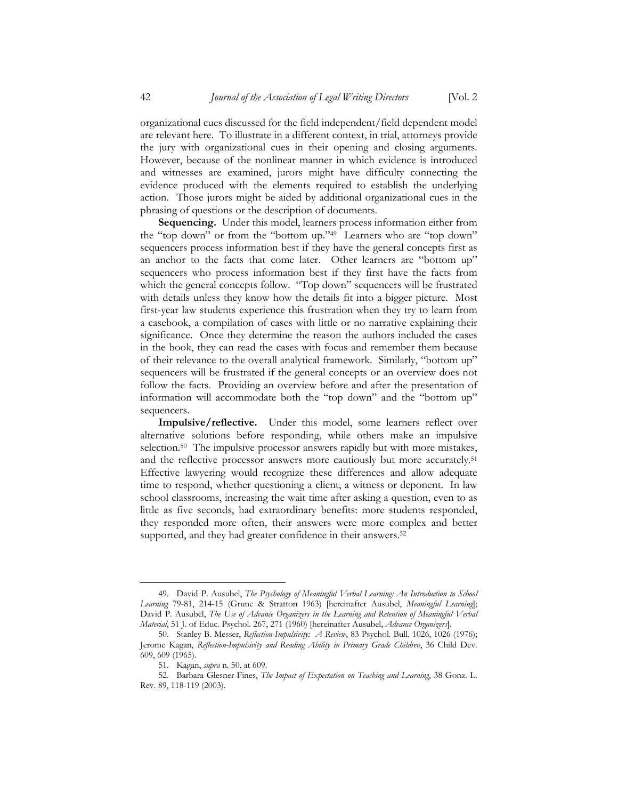organizational cues discussed for the field independent/field dependent model are relevant here. To illustrate in a different context, in trial, attorneys provide the jury with organizational cues in their opening and closing arguments. However, because of the nonlinear manner in which evidence is introduced and witnesses are examined, jurors might have difficulty connecting the evidence produced with the elements required to establish the underlying action. Those jurors might be aided by additional organizational cues in the phrasing of questions or the description of documents.

**Sequencing.**Under this model, learners process information either from the "top down" or from the "bottom up."49 Learners who are "top down" sequencers process information best if they have the general concepts first as an anchor to the facts that come later. Other learners are "bottom up" sequencers who process information best if they first have the facts from which the general concepts follow. "Top down" sequencers will be frustrated with details unless they know how the details fit into a bigger picture. Most first-year law students experience this frustration when they try to learn from a casebook, a compilation of cases with little or no narrative explaining their significance. Once they determine the reason the authors included the cases in the book, they can read the cases with focus and remember them because of their relevance to the overall analytical framework. Similarly, "bottom up" sequencers will be frustrated if the general concepts or an overview does not follow the facts. Providing an overview before and after the presentation of information will accommodate both the "top down" and the "bottom up" sequencers.

**Impulsive/reflective.** Under this model, some learners reflect over alternative solutions before responding, while others make an impulsive selection.<sup>50</sup> The impulsive processor answers rapidly but with more mistakes, and the reflective processor answers more cautiously but more accurately.51 Effective lawyering would recognize these differences and allow adequate time to respond, whether questioning a client, a witness or deponent. In law school classrooms, increasing the wait time after asking a question, even to as little as five seconds, had extraordinary benefits: more students responded, they responded more often, their answers were more complex and better supported, and they had greater confidence in their answers.<sup>52</sup>

<sup>49.</sup> David P. Ausubel, *The Psychology of Meaningful Verbal Learning: An Introduction to School Learning* 79-81, 214-15 (Grune & Stratton 1963) [hereinafter Ausubel, *Meaningful Learning*]; David P. Ausubel, *The Use of Advance Organizers in the Learning and Retention of Meaningful Verbal Material*, 51 J. of Educ. Psychol. 267, 271 (1960) [hereinafter Ausubel, *Advance Organizers*].

<sup>50.</sup> Stanley B. Messer, *Reflection-Impulsivity: A Review*, 83 Psychol. Bull. 1026, 1026 (1976); Jerome Kagan, *Reflection-Impulsivity and Reading Ability in Primary Grade Children*, 36 Child Dev. 609, 609 (1965).

<sup>51.</sup> Kagan, *supra* n. 50, at 609.

<sup>52.</sup> Barbara Glesner-Fines, *The Impact of Expectation on Teaching and Learning*, 38 Gonz. L. Rev. 89, 118-119 (2003).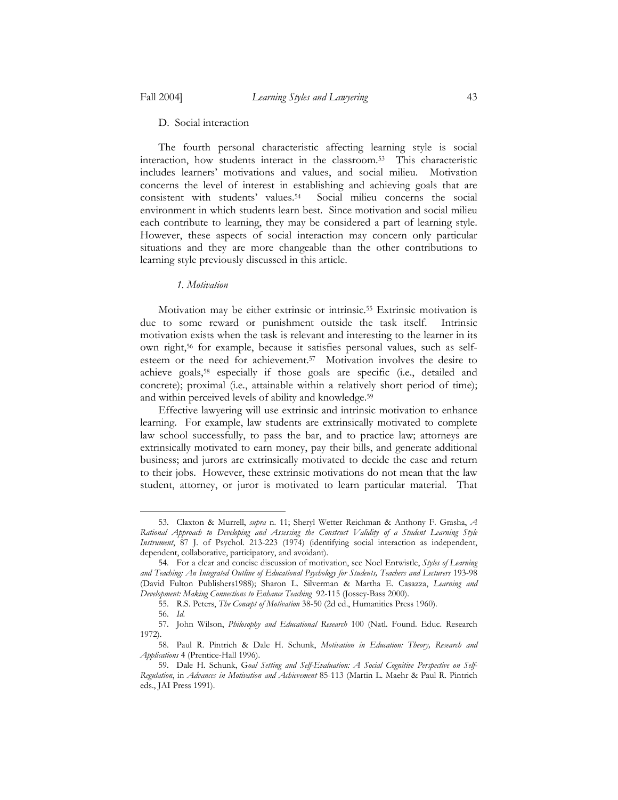D. Social interaction

 The fourth personal characteristic affecting learning style is social interaction, how students interact in the classroom.53 This characteristic includes learners' motivations and values, and social milieu. Motivation concerns the level of interest in establishing and achieving goals that are consistent with students' values.54 Social milieu concerns the social environment in which students learn best. Since motivation and social milieu each contribute to learning, they may be considered a part of learning style. However, these aspects of social interaction may concern only particular situations and they are more changeable than the other contributions to learning style previously discussed in this article.

#### *1. Motivation*

 Motivation may be either extrinsic or intrinsic.55 Extrinsic motivation is due to some reward or punishment outside the task itself. Intrinsic motivation exists when the task is relevant and interesting to the learner in its own right,56 for example, because it satisfies personal values, such as selfesteem or the need for achievement.57 Motivation involves the desire to achieve goals,58 especially if those goals are specific (i.e., detailed and concrete); proximal (i.e., attainable within a relatively short period of time); and within perceived levels of ability and knowledge.59

 Effective lawyering will use extrinsic and intrinsic motivation to enhance learning. For example, law students are extrinsically motivated to complete law school successfully, to pass the bar, and to practice law; attorneys are extrinsically motivated to earn money, pay their bills, and generate additional business; and jurors are extrinsically motivated to decide the case and return to their jobs. However, these extrinsic motivations do not mean that the law student, attorney, or juror is motivated to learn particular material. That

<sup>53.</sup> Claxton & Murrell, *supra* n. 11; Sheryl Wetter Reichman & Anthony F. Grasha, *A Rational Approach to Developing and Assessing the Construct Validity of a Student Learning Style Instrument*, 87 J. of Psychol. 213-223 (1974) (identifying social interaction as independent, dependent, collaborative, participatory, and avoidant).

<sup>54.</sup> For a clear and concise discussion of motivation, see Noel Entwistle, *Styles of Learning and Teaching: An Integrated Outline of Educational Psychology for Students, Teachers and Lecturers* 193-98 (David Fulton Publishers1988); Sharon L. Silverman & Martha E. Casazza, *Learning and Development: Making Connections to Enhance Teaching* 92-115 (Jossey-Bass 2000).

<sup>55.</sup> R.S. Peters, *The Concept of Motivation* 38-50 (2d ed., Humanities Press 1960).

<sup>56.</sup> *Id*.

<sup>57.</sup> John Wilson, *Philosophy and Educational Research* 100 (Natl. Found. Educ. Research 1972).

<sup>58.</sup> Paul R. Pintrich & Dale H. Schunk, *Motivation in Education: Theory, Research and Applications* 4 (Prentice-Hall 1996).

<sup>59.</sup> Dale H. Schunk, G*oal Setting and Self-Evaluation: A Social Cognitive Perspective on Self-Regulation*, in *Advances in Motivation and Achievement* 85-113 (Martin L. Maehr & Paul R. Pintrich eds., JAI Press 1991).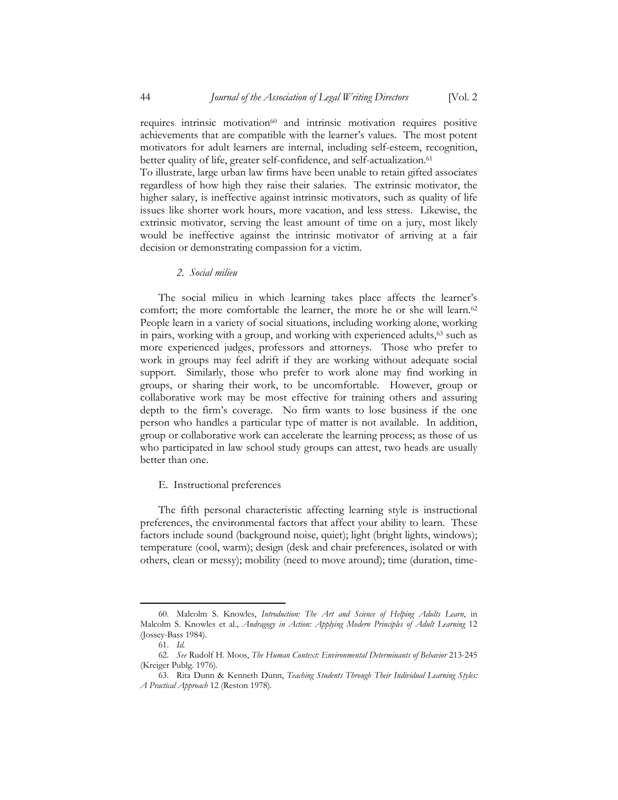requires intrinsic motivation<sup>60</sup> and intrinsic motivation requires positive achievements that are compatible with the learner's values. The most potent motivators for adult learners are internal, including self-esteem, recognition, better quality of life, greater self-confidence, and self-actualization.<sup>61</sup>

To illustrate, large urban law firms have been unable to retain gifted associates regardless of how high they raise their salaries. The extrinsic motivator, the higher salary, is ineffective against intrinsic motivators, such as quality of life issues like shorter work hours, more vacation, and less stress. Likewise, the extrinsic motivator, serving the least amount of time on a jury, most likely would be ineffective against the intrinsic motivator of arriving at a fair decision or demonstrating compassion for a victim.

*2. Social milieu* 

 The social milieu in which learning takes place affects the learner's comfort; the more comfortable the learner, the more he or she will learn.<sup>62</sup> People learn in a variety of social situations, including working alone, working in pairs, working with a group, and working with experienced adults,<sup>63</sup> such as more experienced judges, professors and attorneys. Those who prefer to work in groups may feel adrift if they are working without adequate social support. Similarly, those who prefer to work alone may find working in groups, or sharing their work, to be uncomfortable. However, group or collaborative work may be most effective for training others and assuring depth to the firm's coverage. No firm wants to lose business if the one person who handles a particular type of matter is not available. In addition, group or collaborative work can accelerate the learning process; as those of us who participated in law school study groups can attest, two heads are usually better than one.

#### E. Instructional preferences

 The fifth personal characteristic affecting learning style is instructional preferences, the environmental factors that affect your ability to learn. These factors include sound (background noise, quiet); light (bright lights, windows); temperature (cool, warm); design (desk and chair preferences, isolated or with others, clean or messy); mobility (need to move around); time (duration, time-

<sup>60.</sup> Malcolm S. Knowles, *Introduction: The Art and Science of Helping Adults Learn*, in Malcolm S. Knowles et al., *Andragogy in Action: Applying Modern Principles of Adult Learning* 12 (Jossey-Bass 1984).

<sup>61.</sup> *Id.*

<sup>62.</sup> *See* Rudolf H. Moos, *The Human Context: Environmental Determinants of Behavior* 213-245 (Kreiger Publg. 1976).

<sup>63.</sup> Rita Dunn & Kenneth Dunn, *Teaching Students Through Their Individual Learning Styles: A Practical Approach* 12 (Reston 1978).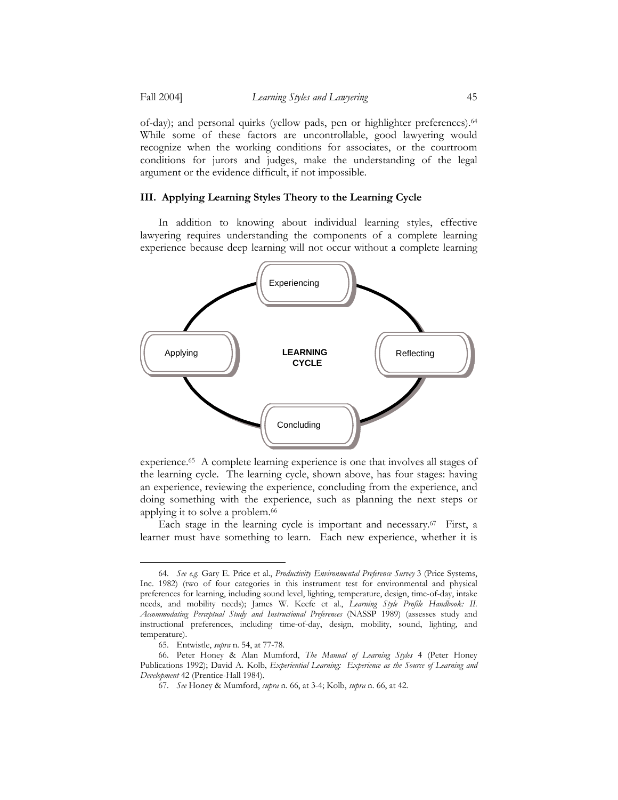of-day); and personal quirks (yellow pads, pen or highlighter preferences).64 While some of these factors are uncontrollable, good lawyering would recognize when the working conditions for associates, or the courtroom conditions for jurors and judges, make the understanding of the legal argument or the evidence difficult, if not impossible.

#### **III. Applying Learning Styles Theory to the Learning Cycle**

 In addition to knowing about individual learning styles, effective lawyering requires understanding the components of a complete learning experience because deep learning will not occur without a complete learning



experience.65 A complete learning experience is one that involves all stages of the learning cycle. The learning cycle, shown above, has four stages: having an experience, reviewing the experience, concluding from the experience, and doing something with the experience, such as planning the next steps or applying it to solve a problem.<sup>66</sup>

Each stage in the learning cycle is important and necessary.67 First, a learner must have something to learn. Each new experience, whether it is

<sup>64.</sup> *See e.g.* Gary E. Price et al., *Productivity Environmental Preference Survey* 3 (Price Systems, Inc. 1982) (two of four categories in this instrument test for environmental and physical preferences for learning, including sound level, lighting, temperature, design, time-of-day, intake needs, and mobility needs); James W. Keefe et al., *Learning Style Profile Handbook: II. Accommodating Perceptual Study and Instructional Preferences* (NASSP 1989) (assesses study and instructional preferences, including time-of-day, design, mobility, sound, lighting, and temperature).

<sup>65.</sup> Entwistle, *supra* n. 54, at 77-78.

<sup>66.</sup> Peter Honey & Alan Mumford, *The Manual of Learning Styles* 4 (Peter Honey Publications 1992); David A. Kolb, *Experiential Learning: Experience as the Source of Learning and Development* 42 (Prentice-Hall 1984).

<sup>67.</sup> *See* Honey & Mumford, *supra* n. 66, at 3-4; Kolb, *supra* n. 66, at 42.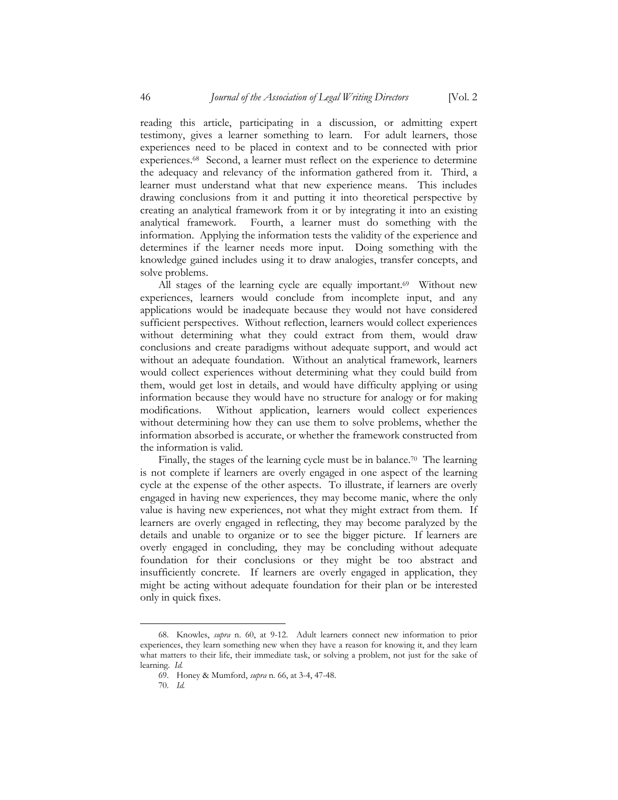reading this article, participating in a discussion, or admitting expert testimony, gives a learner something to learn. For adult learners, those experiences need to be placed in context and to be connected with prior experiences.68 Second, a learner must reflect on the experience to determine the adequacy and relevancy of the information gathered from it. Third, a learner must understand what that new experience means. This includes drawing conclusions from it and putting it into theoretical perspective by creating an analytical framework from it or by integrating it into an existing analytical framework. Fourth, a learner must do something with the information. Applying the information tests the validity of the experience and determines if the learner needs more input. Doing something with the knowledge gained includes using it to draw analogies, transfer concepts, and solve problems.

All stages of the learning cycle are equally important.<sup>69</sup> Without new experiences, learners would conclude from incomplete input, and any applications would be inadequate because they would not have considered sufficient perspectives. Without reflection, learners would collect experiences without determining what they could extract from them, would draw conclusions and create paradigms without adequate support, and would act without an adequate foundation. Without an analytical framework, learners would collect experiences without determining what they could build from them, would get lost in details, and would have difficulty applying or using information because they would have no structure for analogy or for making modifications. Without application, learners would collect experiences without determining how they can use them to solve problems, whether the information absorbed is accurate, or whether the framework constructed from the information is valid.

Finally, the stages of the learning cycle must be in balance.<sup>70</sup> The learning is not complete if learners are overly engaged in one aspect of the learning cycle at the expense of the other aspects. To illustrate, if learners are overly engaged in having new experiences, they may become manic, where the only value is having new experiences, not what they might extract from them. If learners are overly engaged in reflecting, they may become paralyzed by the details and unable to organize or to see the bigger picture. If learners are overly engaged in concluding, they may be concluding without adequate foundation for their conclusions or they might be too abstract and insufficiently concrete. If learners are overly engaged in application, they might be acting without adequate foundation for their plan or be interested only in quick fixes.

<sup>68.</sup> Knowles, *supra* n. 60, at 9-12. Adult learners connect new information to prior experiences, they learn something new when they have a reason for knowing it, and they learn what matters to their life, their immediate task, or solving a problem, not just for the sake of learning. *Id.*

<sup>69.</sup> Honey & Mumford, *supra* n. 66, at 3-4, 47-48.

<sup>70.</sup> *Id.*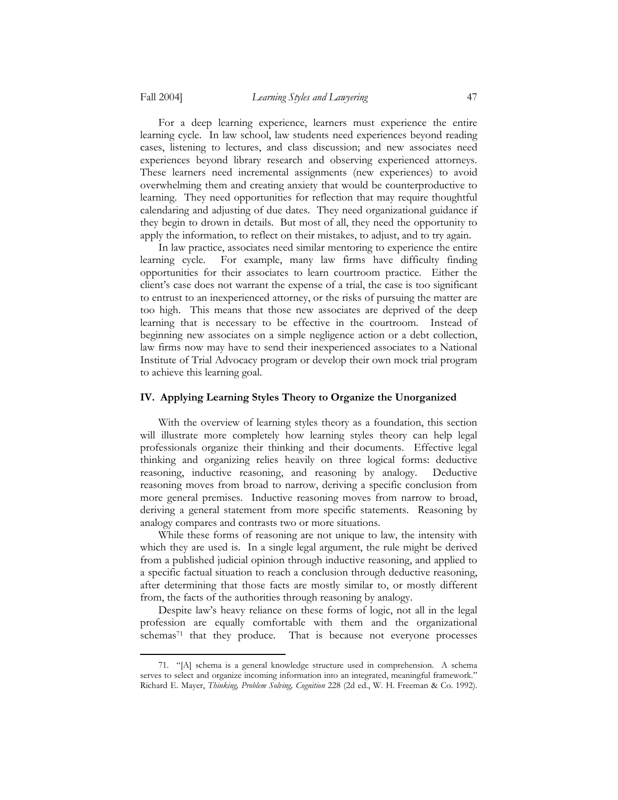1

 For a deep learning experience, learners must experience the entire learning cycle. In law school, law students need experiences beyond reading cases, listening to lectures, and class discussion; and new associates need experiences beyond library research and observing experienced attorneys. These learners need incremental assignments (new experiences) to avoid overwhelming them and creating anxiety that would be counterproductive to learning. They need opportunities for reflection that may require thoughtful calendaring and adjusting of due dates. They need organizational guidance if they begin to drown in details. But most of all, they need the opportunity to apply the information, to reflect on their mistakes, to adjust, and to try again.

 In law practice, associates need similar mentoring to experience the entire learning cycle. For example, many law firms have difficulty finding opportunities for their associates to learn courtroom practice. Either the client's case does not warrant the expense of a trial, the case is too significant to entrust to an inexperienced attorney, or the risks of pursuing the matter are too high. This means that those new associates are deprived of the deep learning that is necessary to be effective in the courtroom. Instead of beginning new associates on a simple negligence action or a debt collection, law firms now may have to send their inexperienced associates to a National Institute of Trial Advocacy program or develop their own mock trial program to achieve this learning goal.

## **IV. Applying Learning Styles Theory to Organize the Unorganized**

 With the overview of learning styles theory as a foundation, this section will illustrate more completely how learning styles theory can help legal professionals organize their thinking and their documents. Effective legal thinking and organizing relies heavily on three logical forms: deductive reasoning, inductive reasoning, and reasoning by analogy. Deductive reasoning moves from broad to narrow, deriving a specific conclusion from more general premises. Inductive reasoning moves from narrow to broad, deriving a general statement from more specific statements. Reasoning by analogy compares and contrasts two or more situations.

 While these forms of reasoning are not unique to law, the intensity with which they are used is. In a single legal argument, the rule might be derived from a published judicial opinion through inductive reasoning, and applied to a specific factual situation to reach a conclusion through deductive reasoning, after determining that those facts are mostly similar to, or mostly different from, the facts of the authorities through reasoning by analogy.

 Despite law's heavy reliance on these forms of logic, not all in the legal profession are equally comfortable with them and the organizational schemas<sup>71</sup> that they produce. That is because not everyone processes

<sup>71. &</sup>quot;[A] schema is a general knowledge structure used in comprehension. A schema serves to select and organize incoming information into an integrated, meaningful framework." Richard E. Mayer, *Thinking, Problem Solving, Cognition* 228 (2d ed., W. H. Freeman & Co. 1992).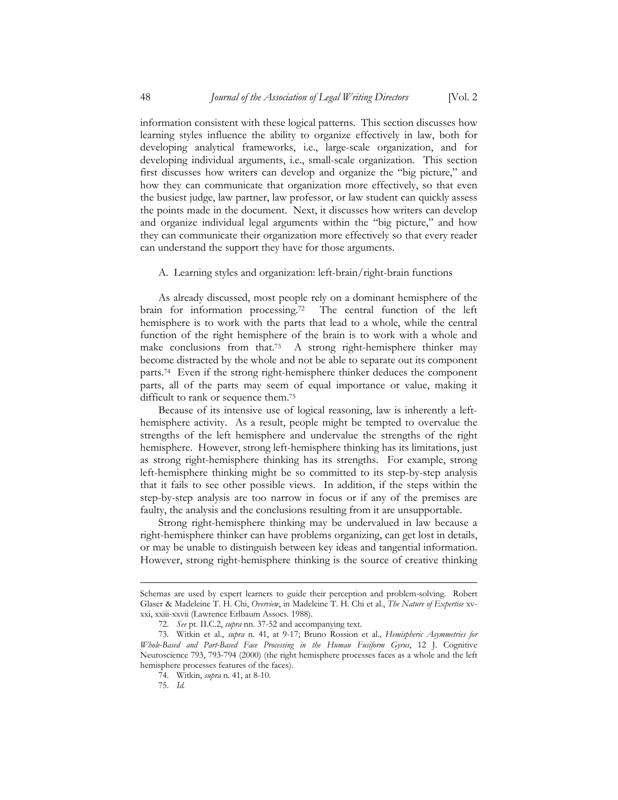information consistent with these logical patterns. This section discusses how learning styles influence the ability to organize effectively in law, both for developing analytical frameworks, i.e., large-scale organization, and for developing individual arguments, i.e., small-scale organization. This section first discusses how writers can develop and organize the "big picture," and how they can communicate that organization more effectively, so that even the busiest judge, law partner, law professor, or law student can quickly assess the points made in the document. Next, it discusses how writers can develop and organize individual legal arguments within the "big picture," and how they can communicate their organization more effectively so that every reader can understand the support they have for those arguments.

## A. Learning styles and organization: left-brain/right-brain functions

 As already discussed, most people rely on a dominant hemisphere of the brain for information processing.72 The central function of the left hemisphere is to work with the parts that lead to a whole, while the central function of the right hemisphere of the brain is to work with a whole and make conclusions from that.73 A strong right-hemisphere thinker may become distracted by the whole and not be able to separate out its component parts.74 Even if the strong right-hemisphere thinker deduces the component parts, all of the parts may seem of equal importance or value, making it difficult to rank or sequence them.75

 Because of its intensive use of logical reasoning, law is inherently a lefthemisphere activity. As a result, people might be tempted to overvalue the strengths of the left hemisphere and undervalue the strengths of the right hemisphere. However, strong left-hemisphere thinking has its limitations, just as strong right-hemisphere thinking has its strengths. For example, strong left-hemisphere thinking might be so committed to its step-by-step analysis that it fails to see other possible views. In addition, if the steps within the step-by-step analysis are too narrow in focus or if any of the premises are faulty, the analysis and the conclusions resulting from it are unsupportable.

 Strong right-hemisphere thinking may be undervalued in law because a right-hemisphere thinker can have problems organizing, can get lost in details, or may be unable to distinguish between key ideas and tangential information. However, strong right-hemisphere thinking is the source of creative thinking

Schemas are used by expert learners to guide their perception and problem-solving. Robert Glaser & Madeleine T. H. Chi, *Overview*, in Madeleine T. H. Chi et al., *The Nature of Expertise* xvxxi, xxiii-xxvii (Lawrence Erlbaum Assocs. 1988).

<sup>72.</sup> *See* pt. II.C.2, *supra* nn. 37-52 and accompanying text.

<sup>73.</sup> Witkin et al., *supra* n. 41, at 9-17; Bruno Rossion et al., *Hemispheric Asymmetries for Whole-Based and Part-Based Face Processing in the Human Fusiform Gyrus*, 12 J. Cognitive Neuroscience 793, 793-794 (2000) (the right hemisphere processes faces as a whole and the left hemisphere processes features of the faces).

<sup>74.</sup> Witkin, *supra* n. 41, at 8-10.

<sup>75.</sup> *Id.*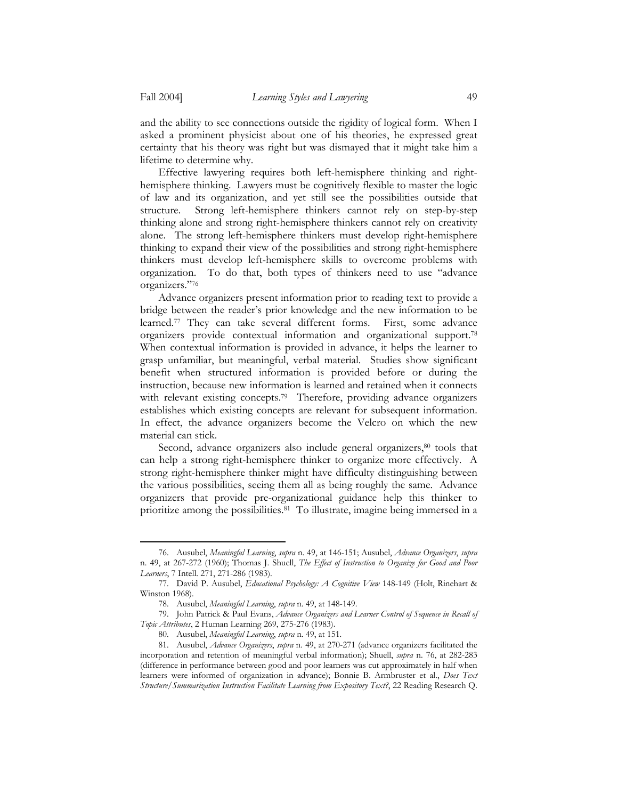1

and the ability to see connections outside the rigidity of logical form. When I asked a prominent physicist about one of his theories, he expressed great certainty that his theory was right but was dismayed that it might take him a lifetime to determine why.

 Effective lawyering requires both left-hemisphere thinking and righthemisphere thinking. Lawyers must be cognitively flexible to master the logic of law and its organization, and yet still see the possibilities outside that structure. Strong left-hemisphere thinkers cannot rely on step-by-step thinking alone and strong right-hemisphere thinkers cannot rely on creativity alone. The strong left-hemisphere thinkers must develop right-hemisphere thinking to expand their view of the possibilities and strong right-hemisphere thinkers must develop left-hemisphere skills to overcome problems with organization. To do that, both types of thinkers need to use "advance organizers."76

 Advance organizers present information prior to reading text to provide a bridge between the reader's prior knowledge and the new information to be learned.77 They can take several different forms. First, some advance organizers provide contextual information and organizational support.78 When contextual information is provided in advance, it helps the learner to grasp unfamiliar, but meaningful, verbal material. Studies show significant benefit when structured information is provided before or during the instruction, because new information is learned and retained when it connects with relevant existing concepts.<sup>79</sup> Therefore, providing advance organizers establishes which existing concepts are relevant for subsequent information. In effect, the advance organizers become the Velcro on which the new material can stick.

Second, advance organizers also include general organizers,<sup>80</sup> tools that can help a strong right-hemisphere thinker to organize more effectively. A strong right-hemisphere thinker might have difficulty distinguishing between the various possibilities, seeing them all as being roughly the same. Advance organizers that provide pre-organizational guidance help this thinker to prioritize among the possibilities.81 To illustrate, imagine being immersed in a

<sup>76.</sup> Ausubel, *Meaningful Learning*, *supra* n. 49, at 146-151; Ausubel, *Advance Organizers*, *supra* n. 49, at 267-272 (1960); Thomas J. Shuell, *The Effect of Instruction to Organize for Good and Poor Learners*, 7 Intell. 271, 271-286 (1983).

<sup>77.</sup> David P. Ausubel, *Educational Psychology: A Cognitive View* 148-149 (Holt, Rinehart & Winston 1968).

<sup>78.</sup> Ausubel, *Meaningful Learning*, *supra* n. 49, at 148-149.

<sup>79.</sup> John Patrick & Paul Evans, *Advance Organizers and Learner Control of Sequence in Recall of Topic Attributes*, 2 Human Learning 269, 275-276 (1983).

<sup>80.</sup> Ausubel, *Meaningful Learning*, *supra* n. 49, at 151.

<sup>81.</sup> Ausubel, *Advance Organizers*, *supra* n. 49, at 270-271 (advance organizers facilitated the incorporation and retention of meaningful verbal information); Shuell, *supra* n. 76, at 282-283 (difference in performance between good and poor learners was cut approximately in half when learners were informed of organization in advance); Bonnie B. Armbruster et al., *Does Text Structure/Summarization Instruction Facilitate Learning from Expository Text?*, 22 Reading Research Q.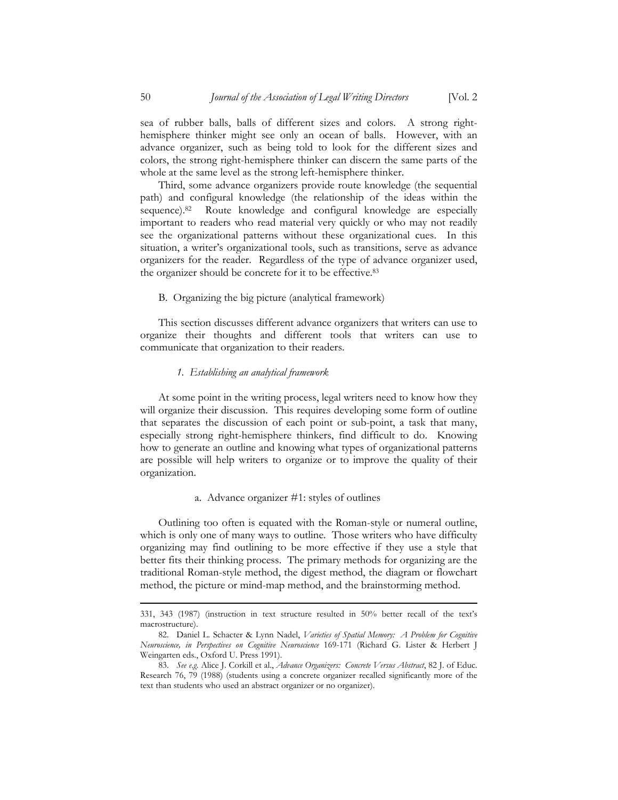sea of rubber balls, balls of different sizes and colors. A strong righthemisphere thinker might see only an ocean of balls. However, with an advance organizer, such as being told to look for the different sizes and colors, the strong right-hemisphere thinker can discern the same parts of the whole at the same level as the strong left-hemisphere thinker.

 Third, some advance organizers provide route knowledge (the sequential path) and configural knowledge (the relationship of the ideas within the sequence).<sup>82</sup> Route knowledge and configural knowledge are especially important to readers who read material very quickly or who may not readily see the organizational patterns without these organizational cues. In this situation, a writer's organizational tools, such as transitions, serve as advance organizers for the reader. Regardless of the type of advance organizer used, the organizer should be concrete for it to be effective.83

#### B. Organizing the big picture (analytical framework)

 This section discusses different advance organizers that writers can use to organize their thoughts and different tools that writers can use to communicate that organization to their readers.

#### *1. Establishing an analytical framework*

 At some point in the writing process, legal writers need to know how they will organize their discussion. This requires developing some form of outline that separates the discussion of each point or sub-point, a task that many, especially strong right-hemisphere thinkers, find difficult to do. Knowing how to generate an outline and knowing what types of organizational patterns are possible will help writers to organize or to improve the quality of their organization.

#### a. Advance organizer #1: styles of outlines

 Outlining too often is equated with the Roman-style or numeral outline, which is only one of many ways to outline. Those writers who have difficulty organizing may find outlining to be more effective if they use a style that better fits their thinking process. The primary methods for organizing are the traditional Roman-style method, the digest method, the diagram or flowchart method, the picture or mind-map method, and the brainstorming method.

<sup>331, 343 (1987) (</sup>instruction in text structure resulted in 50% better recall of the text's macrostructure).

<sup>82.</sup> Daniel L. Schacter & Lynn Nadel, *Varieties of Spatial Memory: A Problem for Cognitive Neuroscience, in Perspectives on Cognitive Neuroscience* 169-171 (Richard G. Lister & Herbert J Weingarten eds., Oxford U. Press 1991).

<sup>83.</sup> *See e.g*. Alice J. Corkill et al., *Advance Organizers: Concrete Versus Abstract*, 82 J. of Educ. Research 76, 79 (1988) (students using a concrete organizer recalled significantly more of the text than students who used an abstract organizer or no organizer).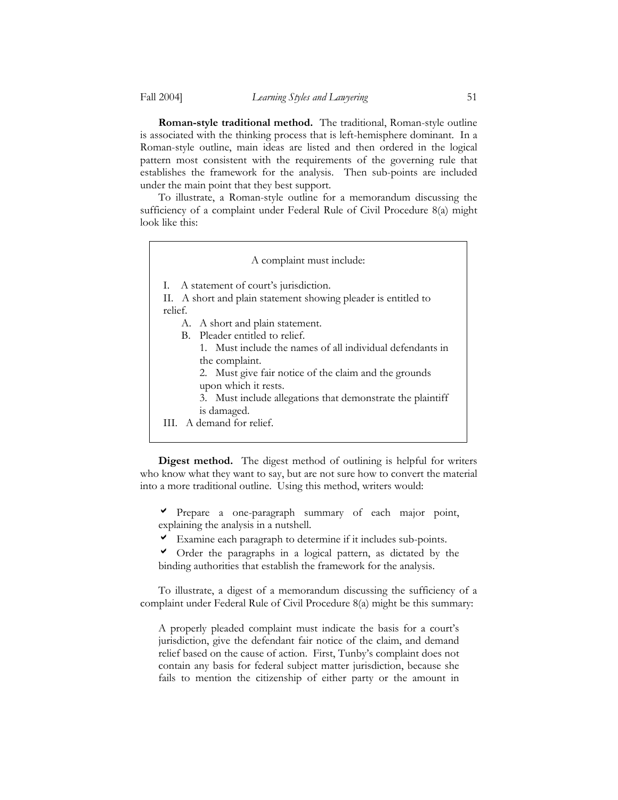**Roman-style traditional method.** The traditional, Roman-style outline is associated with the thinking process that is left-hemisphere dominant. In a Roman-style outline, main ideas are listed and then ordered in the logical pattern most consistent with the requirements of the governing rule that establishes the framework for the analysis. Then sub-points are included under the main point that they best support.

 To illustrate, a Roman-style outline for a memorandum discussing the sufficiency of a complaint under Federal Rule of Civil Procedure 8(a) might look like this:

| A complaint must include:                                                                                                            |
|--------------------------------------------------------------------------------------------------------------------------------------|
| I. A statement of court's jurisdiction.<br>II. A short and plain statement showing pleader is entitled to<br>relief.                 |
| A. A short and plain statement.<br>B. Pleader entitled to relief.                                                                    |
| 1. Must include the names of all individual defendants in<br>the complaint.<br>2. Must give fair notice of the claim and the grounds |
| upon which it rests.<br>3. Must include allegations that demonstrate the plaintiff                                                   |
| is damaged.<br>III. A demand for relief.                                                                                             |

**Digest method.** The digest method of outlining is helpful for writers who know what they want to say, but are not sure how to convert the material into a more traditional outline. Using this method, writers would:

a Prepare a one-paragraph summary of each major point, explaining the analysis in a nutshell.

- $\triangledown$  Examine each paragraph to determine if it includes sub-points.
- a Order the paragraphs in a logical pattern, as dictated by the binding authorities that establish the framework for the analysis.

 To illustrate, a digest of a memorandum discussing the sufficiency of a complaint under Federal Rule of Civil Procedure 8(a) might be this summary:

A properly pleaded complaint must indicate the basis for a court's jurisdiction, give the defendant fair notice of the claim, and demand relief based on the cause of action. First, Tunby's complaint does not contain any basis for federal subject matter jurisdiction, because she fails to mention the citizenship of either party or the amount in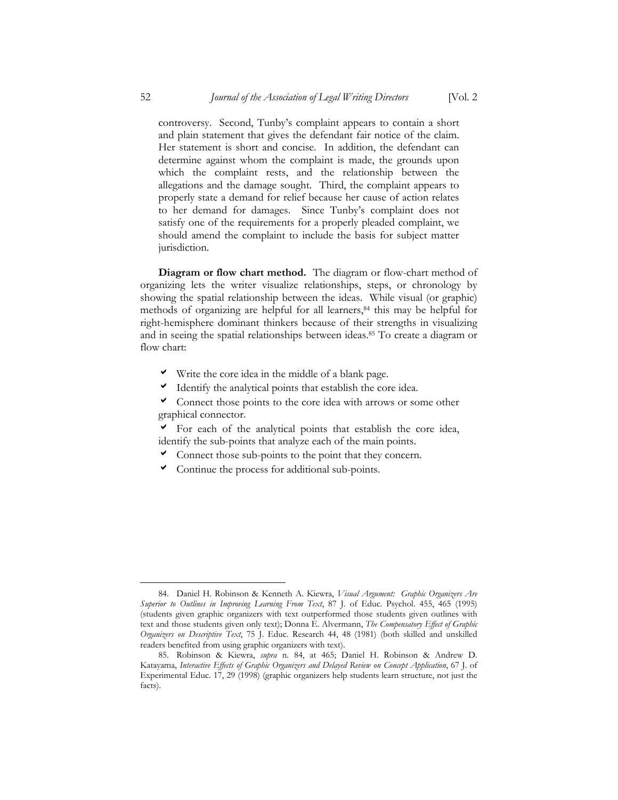controversy. Second, Tunby's complaint appears to contain a short and plain statement that gives the defendant fair notice of the claim. Her statement is short and concise. In addition, the defendant can determine against whom the complaint is made, the grounds upon which the complaint rests, and the relationship between the allegations and the damage sought. Third, the complaint appears to properly state a demand for relief because her cause of action relates to her demand for damages. Since Tunby's complaint does not satisfy one of the requirements for a properly pleaded complaint, we should amend the complaint to include the basis for subject matter jurisdiction.

**Diagram or flow chart method.** The diagram or flow-chart method of organizing lets the writer visualize relationships, steps, or chronology by showing the spatial relationship between the ideas. While visual (or graphic) methods of organizing are helpful for all learners,<sup>84</sup> this may be helpful for right-hemisphere dominant thinkers because of their strengths in visualizing and in seeing the spatial relationships between ideas.85 To create a diagram or flow chart:

- $\checkmark$  Write the core idea in the middle of a blank page.
- $\blacktriangleright$  Identify the analytical points that establish the core idea.
- $\triangledown$  Connect those points to the core idea with arrows or some other graphical connector.
- $\triangledown$  For each of the analytical points that establish the core idea, identify the sub-points that analyze each of the main points.
- $\triangledown$  Connect those sub-points to the point that they concern.
- $\triangledown$  Continue the process for additional sub-points.

<sup>84.</sup> Daniel H. Robinson & Kenneth A. Kiewra, *Visual Argument: Graphic Organizers Are Superior to Outlines in Improving Learning From Text*, 87 J. of Educ. Psychol. 455, 465 (1995) (students given graphic organizers with text outperformed those students given outlines with text and those students given only text); Donna E. Alvermann, *The Compensatory Effect of Graphic Organizers on Descriptive Text*, 75 J. Educ. Research 44, 48 (1981) (both skilled and unskilled readers benefited from using graphic organizers with text).

<sup>85.</sup> Robinson & Kiewra, *supra* n. 84, at 465; Daniel H. Robinson & Andrew D. Katayama, *Interactive Effects of Graphic Organizers and Delayed Review on Concept Application*, 67 J. of Experimental Educ. 17, 29 (1998) (graphic organizers help students learn structure, not just the facts).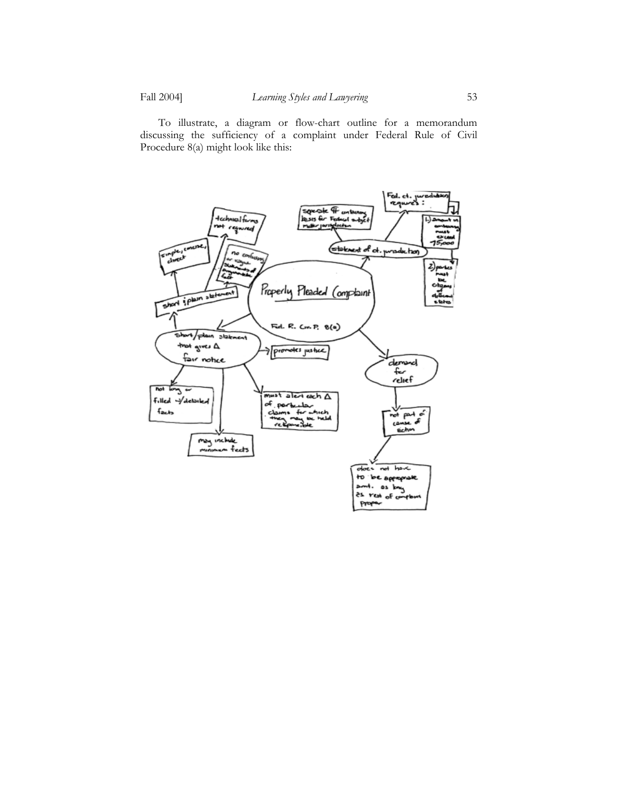To illustrate, a diagram or flow-chart outline for a memorandum discussing the sufficiency of a complaint under Federal Rule of Civil Procedure 8(a) might look like this:

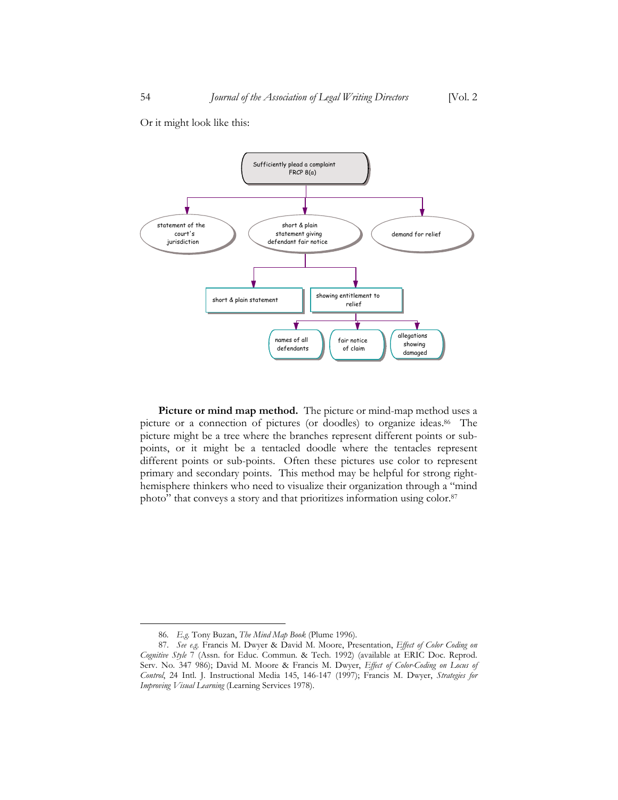Sufficiently plead a complaint FRCP 8(a) statement of the court's jurisdiction short & plain statement giving defendant fair notice demand for relief

short & plain statement short & plain statement

names of all defendants relief

fair notice of claim

allegations showing damaged

Or it might look like this:

**Picture or mind map method.**The picture or mind-map method uses a picture or a connection of pictures (or doodles) to organize ideas.<sup>86</sup> The picture might be a tree where the branches represent different points or subpoints, or it might be a tentacled doodle where the tentacles represent different points or sub-points. Often these pictures use color to represent primary and secondary points. This method may be helpful for strong righthemisphere thinkers who need to visualize their organization through a "mind photo" that conveys a story and that prioritizes information using color.<sup>87</sup>

<sup>86</sup>*. E.g.* Tony Buzan, *The Mind Map Book* (Plume 1996).

<sup>87.</sup> *See e.g.* Francis M. Dwyer & David M. Moore, Presentation, *Effect of Color Coding on Cognitive Style* 7 (Assn. for Educ. Commun. & Tech. 1992) (available at ERIC Doc. Reprod. Serv. No. 347 986); David M. Moore & Francis M. Dwyer, *Effect of Color-Coding on Locus of Control*, 24 Intl. J. Instructional Media 145, 146-147 (1997); Francis M. Dwyer, *Strategies for Improving Visual Learning* (Learning Services 1978).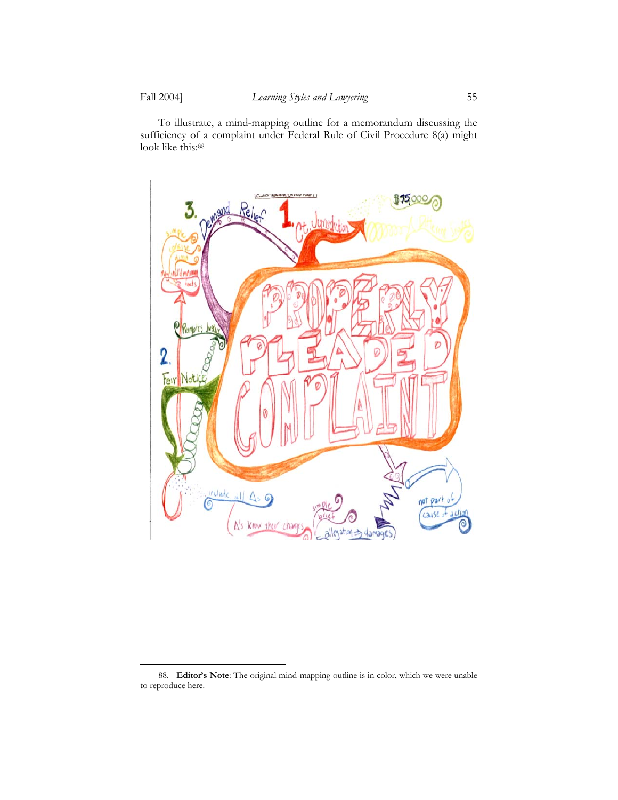<u>.</u>

 To illustrate, a mind-mapping outline for a memorandum discussing the sufficiency of a complaint under Federal Rule of Civil Procedure 8(a) might look like this:88



<sup>88.</sup> **Editor's Note**: The original mind-mapping outline is in color, which we were unable to reproduce here.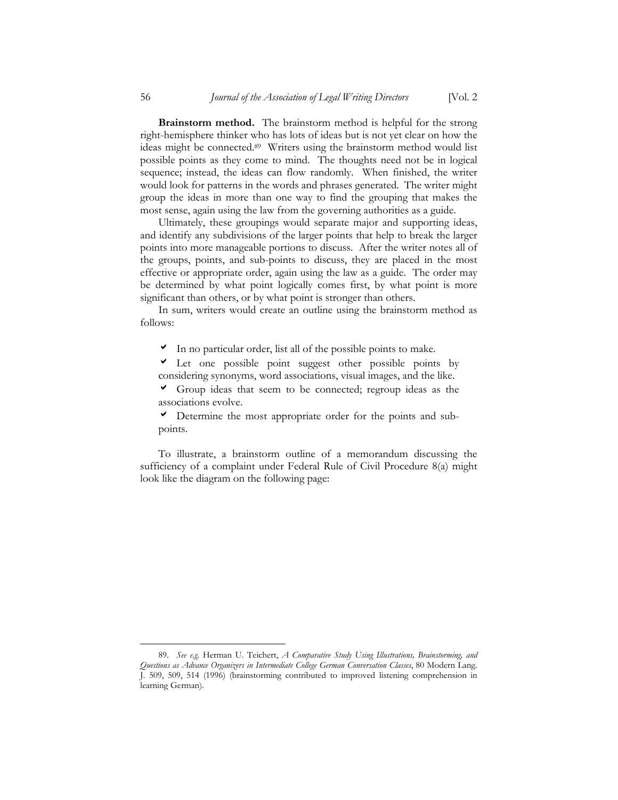**Brainstorm method.**The brainstorm method is helpful for the strong right-hemisphere thinker who has lots of ideas but is not yet clear on how the ideas might be connected.89 Writers using the brainstorm method would list possible points as they come to mind. The thoughts need not be in logical sequence; instead, the ideas can flow randomly. When finished, the writer would look for patterns in the words and phrases generated. The writer might group the ideas in more than one way to find the grouping that makes the most sense, again using the law from the governing authorities as a guide.

 Ultimately, these groupings would separate major and supporting ideas, and identify any subdivisions of the larger points that help to break the larger points into more manageable portions to discuss. After the writer notes all of the groups, points, and sub-points to discuss, they are placed in the most effective or appropriate order, again using the law as a guide. The order may be determined by what point logically comes first, by what point is more significant than others, or by what point is stronger than others.

 In sum, writers would create an outline using the brainstorm method as follows:

 $\triangledown$  In no particular order, list all of the possible points to make.

 $\triangleright$  Let one possible point suggest other possible points by considering synonyms, word associations, visual images, and the like.

 $\triangledown$  Group ideas that seem to be connected; regroup ideas as the associations evolve.

 $\triangledown$  Determine the most appropriate order for the points and subpoints.

 To illustrate, a brainstorm outline of a memorandum discussing the sufficiency of a complaint under Federal Rule of Civil Procedure 8(a) might look like the diagram on the following page:

<sup>89.</sup> *See e.g.* Herman U. Teichert, *A Comparative Study Using Illustrations, Brainstorming, and Questions as Advance Organizers in Intermediate College German Conversation Classes*, 80 Modern Lang. J. 509, 509, 514 (1996) (brainstorming contributed to improved listening comprehension in learning German).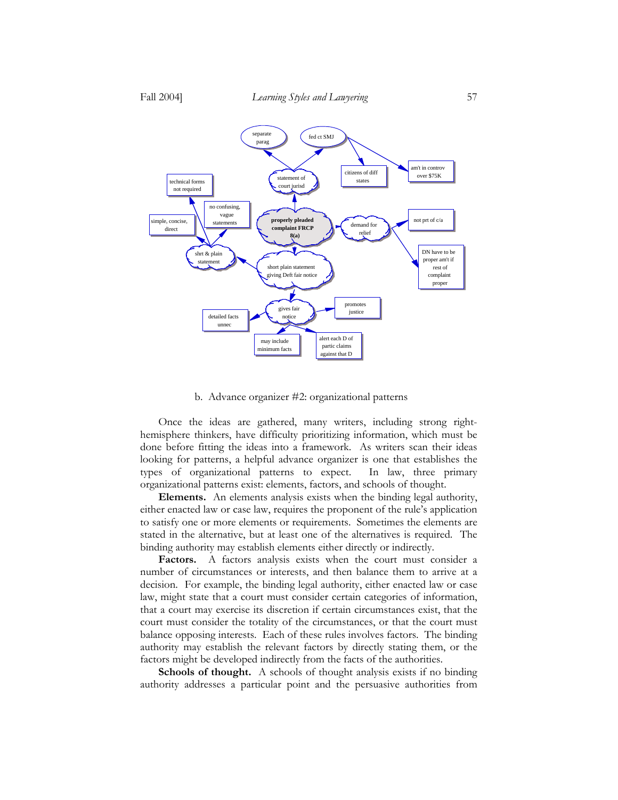

#### b. Advance organizer #2: organizational patterns

 Once the ideas are gathered, many writers, including strong righthemisphere thinkers, have difficulty prioritizing information, which must be done before fitting the ideas into a framework. As writers scan their ideas looking for patterns, a helpful advance organizer is one that establishes the types of organizational patterns to expect. In law, three primary organizational patterns exist: elements, factors, and schools of thought.

**Elements.** An elements analysis exists when the binding legal authority, either enacted law or case law, requires the proponent of the rule's application to satisfy one or more elements or requirements. Sometimes the elements are stated in the alternative, but at least one of the alternatives is required. The binding authority may establish elements either directly or indirectly.

**Factors.** A factors analysis exists when the court must consider a number of circumstances or interests, and then balance them to arrive at a decision. For example, the binding legal authority, either enacted law or case law, might state that a court must consider certain categories of information, that a court may exercise its discretion if certain circumstances exist, that the court must consider the totality of the circumstances, or that the court must balance opposing interests. Each of these rules involves factors. The binding authority may establish the relevant factors by directly stating them, or the factors might be developed indirectly from the facts of the authorities.

**Schools of thought.** A schools of thought analysis exists if no binding authority addresses a particular point and the persuasive authorities from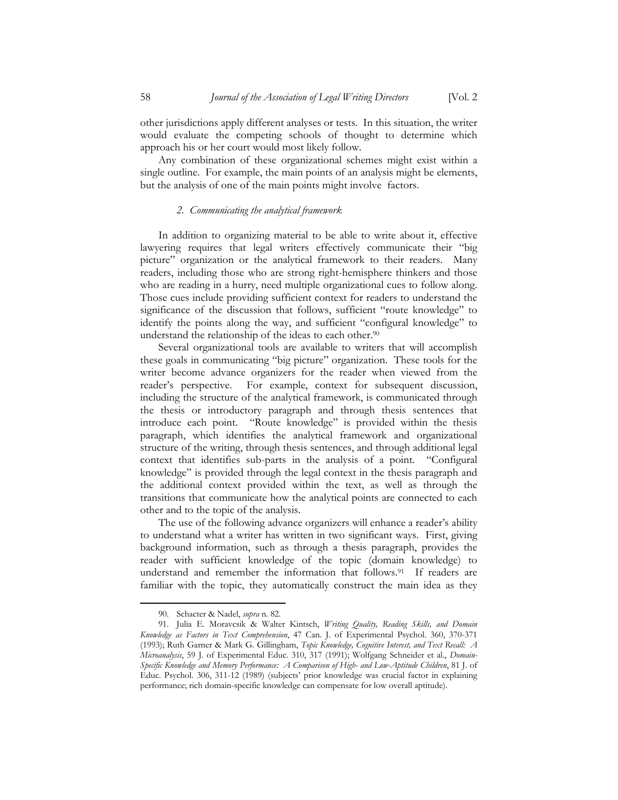other jurisdictions apply different analyses or tests. In this situation, the writer would evaluate the competing schools of thought to determine which approach his or her court would most likely follow.

 Any combination of these organizational schemes might exist within a single outline. For example, the main points of an analysis might be elements, but the analysis of one of the main points might involve factors.

## *2. Communicating the analytical framework*

 In addition to organizing material to be able to write about it, effective lawyering requires that legal writers effectively communicate their "big picture" organization or the analytical framework to their readers. Many readers, including those who are strong right-hemisphere thinkers and those who are reading in a hurry, need multiple organizational cues to follow along. Those cues include providing sufficient context for readers to understand the significance of the discussion that follows, sufficient "route knowledge" to identify the points along the way, and sufficient "configural knowledge" to understand the relationship of the ideas to each other.<sup>90</sup>

 Several organizational tools are available to writers that will accomplish these goals in communicating "big picture" organization. These tools for the writer become advance organizers for the reader when viewed from the reader's perspective. For example, context for subsequent discussion, including the structure of the analytical framework, is communicated through the thesis or introductory paragraph and through thesis sentences that introduce each point. "Route knowledge" is provided within the thesis paragraph, which identifies the analytical framework and organizational structure of the writing, through thesis sentences, and through additional legal context that identifies sub-parts in the analysis of a point. "Configural knowledge" is provided through the legal context in the thesis paragraph and the additional context provided within the text, as well as through the transitions that communicate how the analytical points are connected to each other and to the topic of the analysis.

 The use of the following advance organizers will enhance a reader's ability to understand what a writer has written in two significant ways. First, giving background information, such as through a thesis paragraph, provides the reader with sufficient knowledge of the topic (domain knowledge) to understand and remember the information that follows.91 If readers are familiar with the topic, they automatically construct the main idea as they

<sup>90.</sup> Schacter & Nadel, *supra* n. 82.

<sup>91.</sup> Julia E. Moravcsik & Walter Kintsch, *Writing Quality, Reading Skills, and Domain Knowledge as Factors in Text Comprehension*, 47 Can. J. of Experimental Psychol. 360, 370-371 (1993); Ruth Garner & Mark G. Gillingham, *Topic Knowledge, Cognitive Interest, and Text Recall: A Microanalysis*, 59 J. of Experimental Educ. 310, 317 (1991); Wolfgang Schneider et al., *Domain-Specific Knowledge and Memory Performance: A Comparison of High- and Low-Aptitude Children*, 81 J. of Educ. Psychol. 306, 311-12 (1989) (subjects' prior knowledge was crucial factor in explaining performance; rich domain-specific knowledge can compensate for low overall aptitude).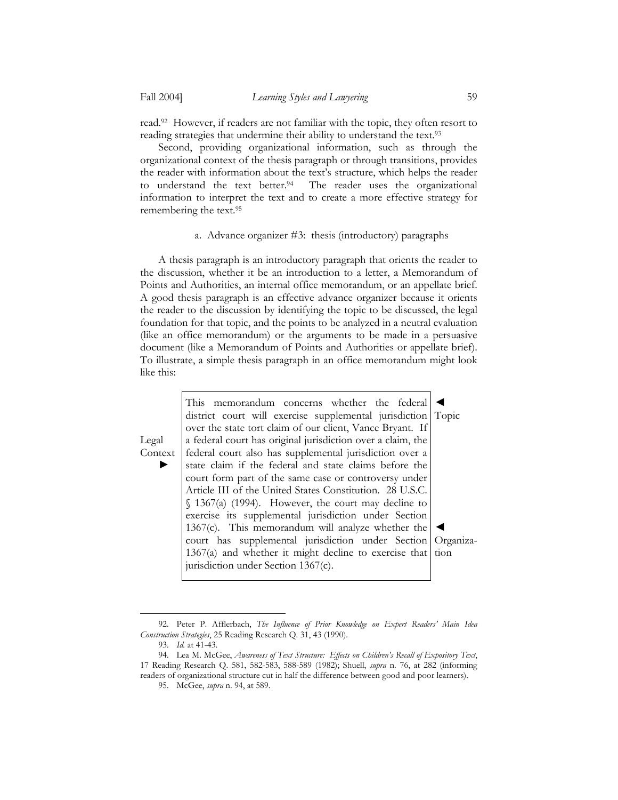read.92 However, if readers are not familiar with the topic, they often resort to reading strategies that undermine their ability to understand the text.93

 Second, providing organizational information, such as through the organizational context of the thesis paragraph or through transitions, provides the reader with information about the text's structure, which helps the reader to understand the text better.<sup>94</sup> The reader uses the organizational information to interpret the text and to create a more effective strategy for remembering the text.95

## a. Advance organizer #3: thesis (introductory) paragraphs

 A thesis paragraph is an introductory paragraph that orients the reader to the discussion, whether it be an introduction to a letter, a Memorandum of Points and Authorities, an internal office memorandum, or an appellate brief. A good thesis paragraph is an effective advance organizer because it orients the reader to the discussion by identifying the topic to be discussed, the legal foundation for that topic, and the points to be analyzed in a neutral evaluation (like an office memorandum) or the arguments to be made in a persuasive document (like a Memorandum of Points and Authorities or appellate brief). To illustrate, a simple thesis paragraph in an office memorandum might look like this:

Legal Context

<u>.</u>

►

This memorandum concerns whether the federal district court will exercise supplemental jurisdiction over the state tort claim of our client, Vance Bryant. If a federal court has original jurisdiction over a claim, the federal court also has supplemental jurisdiction over a state claim if the federal and state claims before the court form part of the same case or controversy under Article III of the United States Constitution. 28 U.S.C. § 1367(a) (1994). However, the court may decline to exercise its supplemental jurisdiction under Section 1367(c). This memorandum will analyze whether the court has supplemental jurisdiction under Section 1367(a) and whether it might decline to exercise that jurisdiction under Section 1367(c). ◄ Topic ◄ tion

Organiza-

<sup>92.</sup> Peter P. Afflerbach, *The Influence of Prior Knowledge on Expert Readers' Main Idea Construction Strategies*, 25 Reading Research Q. 31, 43 (1990).

<sup>93.</sup> *Id.* at 41-43.

<sup>94.</sup> Lea M. McGee, *Awareness of Text Structure: Effects on Children's Recall of Expository Text*, 17 Reading Research Q. 581, 582-583, 588-589 (1982); Shuell, *supra* n. 76, at 282 (informing readers of organizational structure cut in half the difference between good and poor learners).

<sup>95.</sup> McGee, *supra* n. 94, at 589.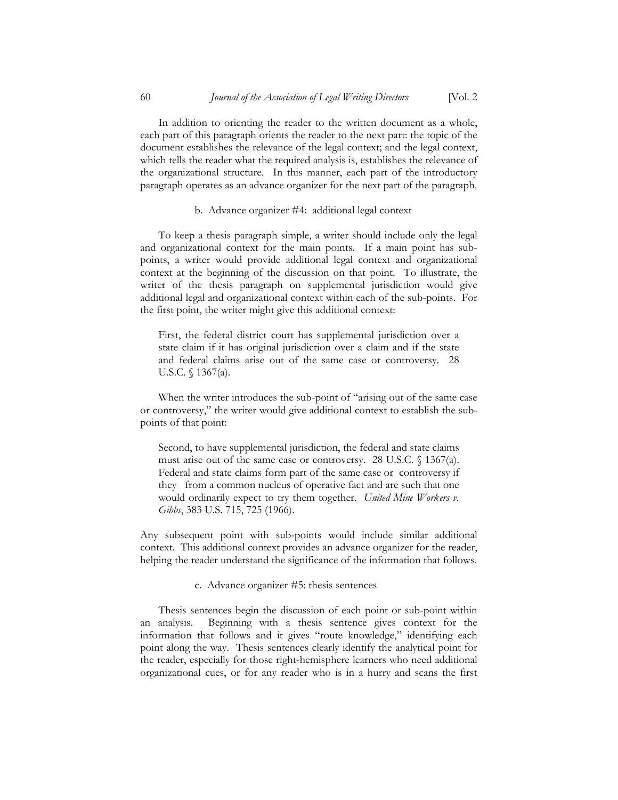In addition to orienting the reader to the written document as a whole, each part of this paragraph orients the reader to the next part: the topic of the document establishes the relevance of the legal context; and the legal context, which tells the reader what the required analysis is, establishes the relevance of the organizational structure. In this manner, each part of the introductory paragraph operates as an advance organizer for the next part of the paragraph.

b. Advance organizer #4: additional legal context

 To keep a thesis paragraph simple, a writer should include only the legal and organizational context for the main points. If a main point has subpoints, a writer would provide additional legal context and organizational context at the beginning of the discussion on that point. To illustrate, the writer of the thesis paragraph on supplemental jurisdiction would give additional legal and organizational context within each of the sub-points. For the first point, the writer might give this additional context:

First, the federal district court has supplemental jurisdiction over a state claim if it has original jurisdiction over a claim and if the state and federal claims arise out of the same case or controversy. 28 U.S.C. § 1367(a).

 When the writer introduces the sub-point of "arising out of the same case or controversy," the writer would give additional context to establish the subpoints of that point:

Second, to have supplemental jurisdiction, the federal and state claims must arise out of the same case or controversy. 28 U.S.C. § 1367(a). Federal and state claims form part of the same case or controversy if they from a common nucleus of operative fact and are such that one would ordinarily expect to try them together. *United Mine Workers v. Gibbs*, 383 U.S. 715, 725 (1966).

Any subsequent point with sub-points would include similar additional context. This additional context provides an advance organizer for the reader, helping the reader understand the significance of the information that follows.

c. Advance organizer #5: thesis sentences

 Thesis sentences begin the discussion of each point or sub-point within an analysis. Beginning with a thesis sentence gives context for the information that follows and it gives "route knowledge," identifying each point along the way. Thesis sentences clearly identify the analytical point for the reader, especially for those right-hemisphere learners who need additional organizational cues, or for any reader who is in a hurry and scans the first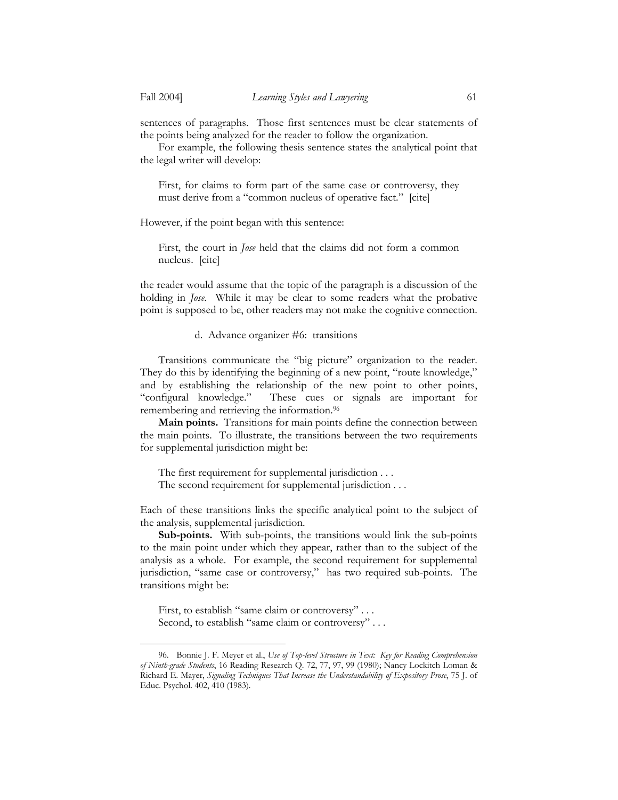1

sentences of paragraphs. Those first sentences must be clear statements of the points being analyzed for the reader to follow the organization.

 For example, the following thesis sentence states the analytical point that the legal writer will develop:

First, for claims to form part of the same case or controversy, they must derive from a "common nucleus of operative fact." [cite]

However, if the point began with this sentence:

First, the court in *Jose* held that the claims did not form a common nucleus. [cite]

the reader would assume that the topic of the paragraph is a discussion of the holding in *Jose*. While it may be clear to some readers what the probative point is supposed to be, other readers may not make the cognitive connection.

## d. Advance organizer #6: transitions

 Transitions communicate the "big picture" organization to the reader. They do this by identifying the beginning of a new point, "route knowledge," and by establishing the relationship of the new point to other points, "configural knowledge." These cues or signals are important for remembering and retrieving the information.<sup>96</sup>

**Main points.** Transitions for main points define the connection between the main points. To illustrate, the transitions between the two requirements for supplemental jurisdiction might be:

The first requirement for supplemental jurisdiction . . .

The second requirement for supplemental jurisdiction . . .

Each of these transitions links the specific analytical point to the subject of the analysis, supplemental jurisdiction.

**Sub-points.** With sub-points, the transitions would link the sub-points to the main point under which they appear, rather than to the subject of the analysis as a whole. For example, the second requirement for supplemental jurisdiction, "same case or controversy," has two required sub-points. The transitions might be:

First, to establish "same claim or controversy" . . . Second, to establish "same claim or controversy" . . .

<sup>96.</sup> Bonnie J. F. Meyer et al., *Use of Top-level Structure in Text: Key for Reading Comprehension of Ninth-grade Students*, 16 Reading Research Q. 72, 77, 97, 99 (1980); Nancy Lockitch Loman & Richard E. Mayer, *Signaling Techniques That Increase the Understandability of Expository Prose*, 75 J. of Educ. Psychol. 402, 410 (1983).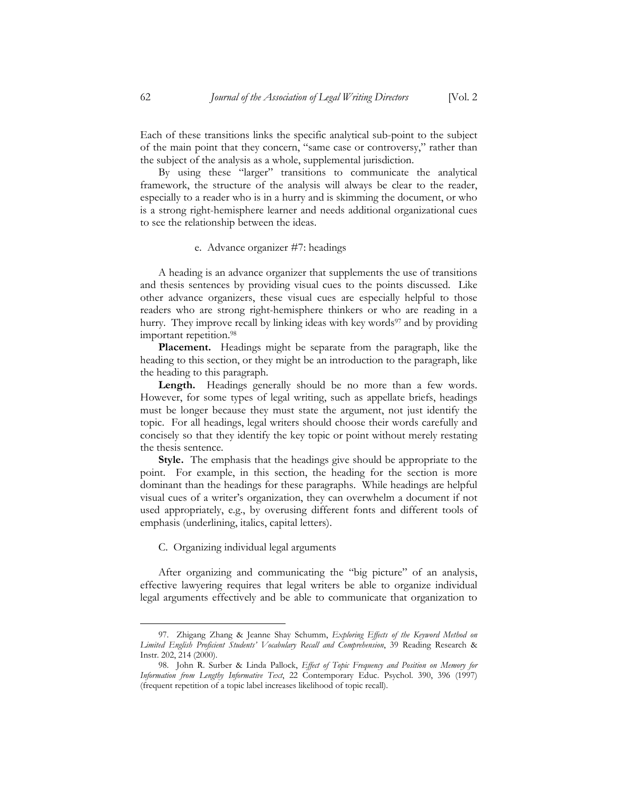Each of these transitions links the specific analytical sub-point to the subject of the main point that they concern, "same case or controversy," rather than the subject of the analysis as a whole, supplemental jurisdiction.

 By using these "larger" transitions to communicate the analytical framework, the structure of the analysis will always be clear to the reader, especially to a reader who is in a hurry and is skimming the document, or who is a strong right-hemisphere learner and needs additional organizational cues to see the relationship between the ideas.

#### e. Advance organizer #7: headings

 A heading is an advance organizer that supplements the use of transitions and thesis sentences by providing visual cues to the points discussed. Like other advance organizers, these visual cues are especially helpful to those readers who are strong right-hemisphere thinkers or who are reading in a hurry. They improve recall by linking ideas with key words<sup>97</sup> and by providing important repetition.98

**Placement.** Headings might be separate from the paragraph, like the heading to this section, or they might be an introduction to the paragraph, like the heading to this paragraph.

Length. Headings generally should be no more than a few words. However, for some types of legal writing, such as appellate briefs, headings must be longer because they must state the argument, not just identify the topic. For all headings, legal writers should choose their words carefully and concisely so that they identify the key topic or point without merely restating the thesis sentence.

**Style.** The emphasis that the headings give should be appropriate to the point. For example, in this section, the heading for the section is more dominant than the headings for these paragraphs. While headings are helpful visual cues of a writer's organization, they can overwhelm a document if not used appropriately, e.g., by overusing different fonts and different tools of emphasis (underlining, italics, capital letters).

#### C. Organizing individual legal arguments

 After organizing and communicating the "big picture" of an analysis, effective lawyering requires that legal writers be able to organize individual legal arguments effectively and be able to communicate that organization to

<sup>97.</sup> Zhigang Zhang & Jeanne Shay Schumm, *Exploring Effects of the Keyword Method on Limited English Proficient Students' Vocabulary Recall and Comprehension*, 39 Reading Research & Instr. 202, 214 (2000).

<sup>98.</sup> John R. Surber & Linda Pallock, *Effect of Topic Frequency and Position on Memory for Information from Lengthy Informative Text*, 22 Contemporary Educ. Psychol. 390, 396 (1997) (frequent repetition of a topic label increases likelihood of topic recall).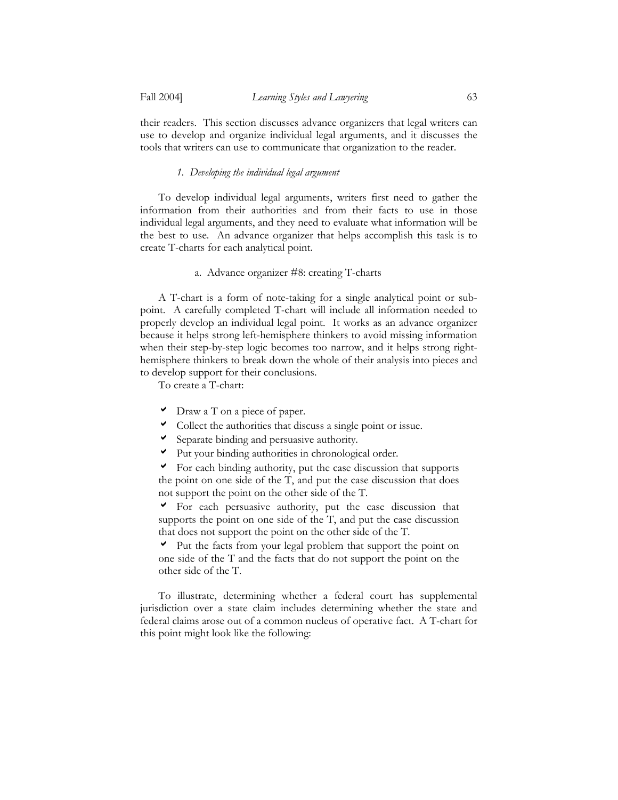their readers. This section discusses advance organizers that legal writers can use to develop and organize individual legal arguments, and it discusses the tools that writers can use to communicate that organization to the reader.

## *1. Developing the individual legal argument*

 To develop individual legal arguments, writers first need to gather the information from their authorities and from their facts to use in those individual legal arguments, and they need to evaluate what information will be the best to use. An advance organizer that helps accomplish this task is to create T-charts for each analytical point.

## a. Advance organizer #8: creating T-charts

 A T-chart is a form of note-taking for a single analytical point or subpoint. A carefully completed T-chart will include all information needed to properly develop an individual legal point. It works as an advance organizer because it helps strong left-hemisphere thinkers to avoid missing information when their step-by-step logic becomes too narrow, and it helps strong righthemisphere thinkers to break down the whole of their analysis into pieces and to develop support for their conclusions.

To create a T-chart:

- $\triangledown$  Draw a T on a piece of paper.
- $\triangledown$  Collect the authorities that discuss a single point or issue.
- $\triangleright$  Separate binding and persuasive authority.
- $\blacktriangleright$  Put your binding authorities in chronological order.

 $\triangledown$  For each binding authority, put the case discussion that supports the point on one side of the T, and put the case discussion that does not support the point on the other side of the T.

 $\triangledown$  For each persuasive authority, put the case discussion that supports the point on one side of the T, and put the case discussion that does not support the point on the other side of the T.

 $\vee$  Put the facts from your legal problem that support the point on one side of the T and the facts that do not support the point on the other side of the T.

 To illustrate, determining whether a federal court has supplemental jurisdiction over a state claim includes determining whether the state and federal claims arose out of a common nucleus of operative fact. A T-chart for this point might look like the following: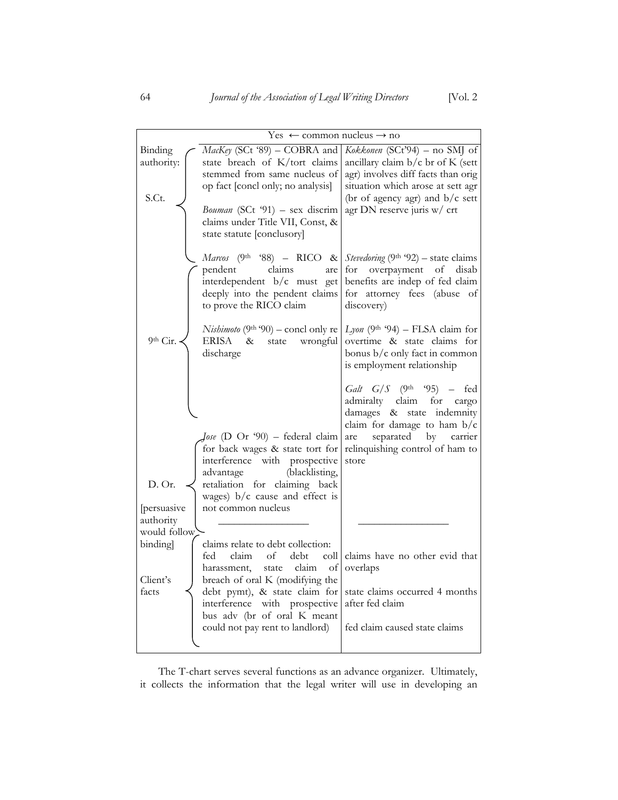| $Yes \leftarrow$ common nucleus $\rightarrow$ no                                                                                                                                                                                                                                                            |                                                                                                                                                                                                                     |
|-------------------------------------------------------------------------------------------------------------------------------------------------------------------------------------------------------------------------------------------------------------------------------------------------------------|---------------------------------------------------------------------------------------------------------------------------------------------------------------------------------------------------------------------|
| MacKey (SCt '89) – COBRA and<br>state breach of K/tort claims<br>stemmed from same nucleus of<br>op fact [concl only; no analysis]<br>Bouman (SCt '91) - sex discrim<br>claims under Title VII, Const, &<br>state statute [conclusory]                                                                      | Kokkonen (SCt'94) – no SMJ of<br>ancillary claim $b/c$ br of K (sett<br>agr) involves diff facts than orig<br>situation which arose at sett agr<br>(br of agency agr) and $b/c$ sett<br>agr DN reserve juris w/ crt |
| <i>Marcos</i> (9 <sup>th</sup> '88) – RICO & <i>Stevedoring</i> (9 <sup>th</sup> '92) – state claims<br>pendent claims are for overpayment of disab<br>interdependent b/c must get benefits are indep of fed claim<br>deeply into the pendent claims for attorney fees (abuse of<br>to prove the RICO claim | discovery)                                                                                                                                                                                                          |
| <i>Nishimoto</i> (9 <sup>th '90) – concl only re <math>\lfloor</math> <i>Lyon</i> (9<sup>th</sup> '94) – FLSA claim for</sup><br>ERISA & state wrongful<br>discharge                                                                                                                                        | overtime & state claims for<br>bonus $b/c$ only fact in common<br>is employment relationship                                                                                                                        |
|                                                                                                                                                                                                                                                                                                             | Galt $G/S$ (9th '95) – fed                                                                                                                                                                                          |

|              |                                                              | Galt $G/S$ (9 <sup>th</sup> '95) – fed            |
|--------------|--------------------------------------------------------------|---------------------------------------------------|
|              |                                                              | admiralty claim for cargo                         |
|              |                                                              | damages & state indemnity                         |
|              |                                                              | claim for damage to ham $b/c$                     |
|              | $\int_0$ ose (D Or '90) – federal claim                      | are separated by carrier                          |
|              | for back wages & state tort for                              | relinquishing control of ham to                   |
|              | interference with prospective                                | store                                             |
|              | advantage (blacklisting,                                     |                                                   |
| D. Or.       | retaliation for claiming back                                |                                                   |
|              | wages) $b/c$ cause and effect is                             |                                                   |
| persuasive   | not common nucleus                                           |                                                   |
| authority    |                                                              |                                                   |
| would follow |                                                              |                                                   |
| binding      | claims relate to debt collection:                            |                                                   |
|              | fed                                                          | claim of debt coll claims have no other evid that |
|              | harassment, state claim of overlaps                          |                                                   |
| Client's     | breach of oral K (modifying the                              |                                                   |
| facts        |                                                              |                                                   |
|              | debt pymt), & state claim for state claims occurred 4 months |                                                   |
|              | interference with prospective after fed claim                |                                                   |
|              | bus adv (br of oral K meant                                  |                                                   |
|              | could not pay rent to landlord)                              | fed claim caused state claims                     |
|              |                                                              |                                                   |
|              |                                                              |                                                   |

 The T-chart serves several functions as an advance organizer. Ultimately, it collects the information that the legal writer will use in developing an

Binding authority:

S.Ct.

9th Cir.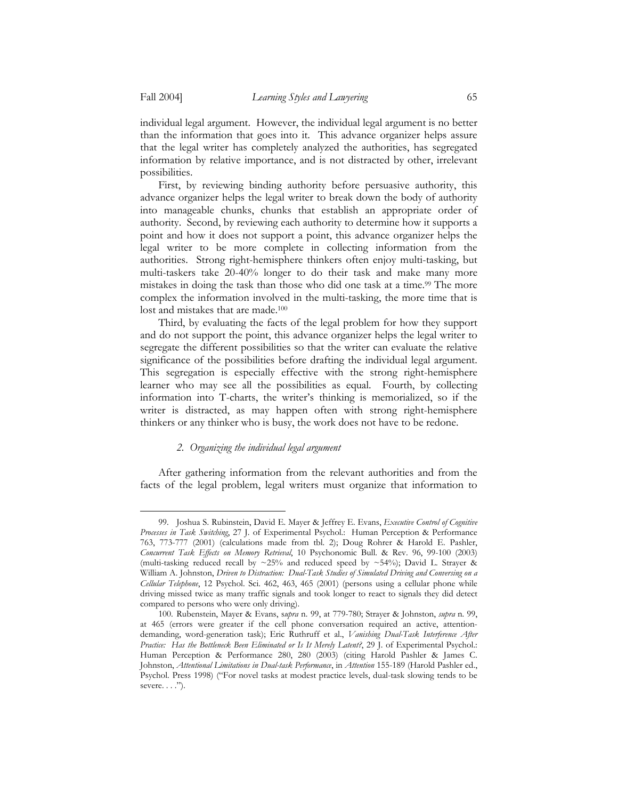1

individual legal argument. However, the individual legal argument is no better than the information that goes into it. This advance organizer helps assure that the legal writer has completely analyzed the authorities, has segregated information by relative importance, and is not distracted by other, irrelevant possibilities.

 First, by reviewing binding authority before persuasive authority, this advance organizer helps the legal writer to break down the body of authority into manageable chunks, chunks that establish an appropriate order of authority. Second, by reviewing each authority to determine how it supports a point and how it does not support a point, this advance organizer helps the legal writer to be more complete in collecting information from the authorities. Strong right-hemisphere thinkers often enjoy multi-tasking, but multi-taskers take 20-40% longer to do their task and make many more mistakes in doing the task than those who did one task at a time.<sup>99</sup> The more complex the information involved in the multi-tasking, the more time that is lost and mistakes that are made.100

 Third, by evaluating the facts of the legal problem for how they support and do not support the point, this advance organizer helps the legal writer to segregate the different possibilities so that the writer can evaluate the relative significance of the possibilities before drafting the individual legal argument. This segregation is especially effective with the strong right-hemisphere learner who may see all the possibilities as equal. Fourth, by collecting information into T-charts, the writer's thinking is memorialized, so if the writer is distracted, as may happen often with strong right-hemisphere thinkers or any thinker who is busy, the work does not have to be redone.

#### *2. Organizing the individual legal argument*

 After gathering information from the relevant authorities and from the facts of the legal problem, legal writers must organize that information to

<sup>99.</sup> Joshua S. Rubinstein, David E. Mayer & Jeffrey E. Evans, *Executive Control of Cognitive Processes in Task Switching*, 27 J. of Experimental Psychol.: Human Perception & Performance 763, 773-777 (2001) (calculations made from tbl. 2); Doug Rohrer & Harold E. Pashler, *Concurrent Task Effects on Memory Retrieval*, 10 Psychonomic Bull. & Rev. 96, 99-100 (2003) (multi-tasking reduced recall by ~25% and reduced speed by ~54%); David L. Strayer & William A. Johnston, *Driven to Distraction: Dual-Task Studies of Simulated Driving and Conversing on a Cellular Telephone*, 12 Psychol. Sci. 462, 463, 465 (2001) (persons using a cellular phone while driving missed twice as many traffic signals and took longer to react to signals they did detect compared to persons who were only driving).

<sup>100.</sup> Rubenstein, Mayer & Evans, s*upra* n. 99, at 779-780; Strayer & Johnston, *supra* n. 99, at 465 (errors were greater if the cell phone conversation required an active, attentiondemanding, word-generation task); Eric Ruthruff et al., *Vanishing Dual-Task Interference After Practice: Has the Bottleneck Been Eliminated or Is It Merely Latent?*, 29 J. of Experimental Psychol.: Human Perception & Performance 280, 280 (2003) (citing Harold Pashler & James C. Johnston, *Attentional Limitations in Dual-task Performance*, in *Attention* 155-189 (Harold Pashler ed., Psychol. Press 1998) ("For novel tasks at modest practice levels, dual-task slowing tends to be severe... $'$ ).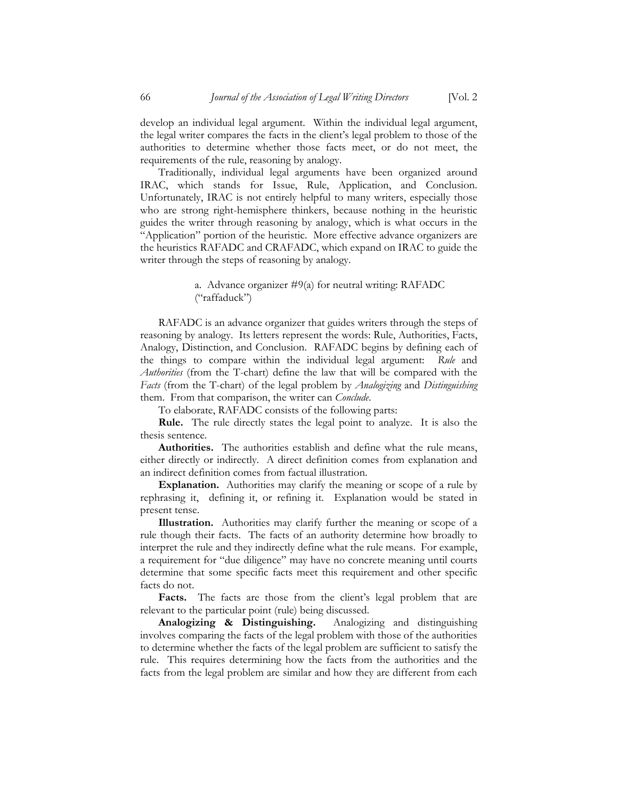develop an individual legal argument. Within the individual legal argument, the legal writer compares the facts in the client's legal problem to those of the authorities to determine whether those facts meet, or do not meet, the requirements of the rule, reasoning by analogy.

 Traditionally, individual legal arguments have been organized around IRAC, which stands for Issue, Rule, Application, and Conclusion. Unfortunately, IRAC is not entirely helpful to many writers, especially those who are strong right-hemisphere thinkers, because nothing in the heuristic guides the writer through reasoning by analogy, which is what occurs in the "Application" portion of the heuristic. More effective advance organizers are the heuristics RAFADC and CRAFADC, which expand on IRAC to guide the writer through the steps of reasoning by analogy.

> a. Advance organizer #9(a) for neutral writing: RAFADC ("raffaduck")

 RAFADC is an advance organizer that guides writers through the steps of reasoning by analogy. Its letters represent the words: Rule, Authorities, Facts, Analogy, Distinction, and Conclusion. RAFADC begins by defining each of the things to compare within the individual legal argument: *Rule* and *Authorities* (from the T-chart) define the law that will be compared with the *Facts* (from the T-chart) of the legal problem by *Analogizing* and *Distinguishing* them. From that comparison, the writer can *Conclude*.

To elaborate, RAFADC consists of the following parts:

**Rule.** The rule directly states the legal point to analyze. It is also the thesis sentence.

**Authorities.** The authorities establish and define what the rule means, either directly or indirectly. A direct definition comes from explanation and an indirect definition comes from factual illustration.

**Explanation.** Authorities may clarify the meaning or scope of a rule by rephrasing it, defining it, or refining it. Explanation would be stated in present tense.

**Illustration.** Authorities may clarify further the meaning or scope of a rule though their facts. The facts of an authority determine how broadly to interpret the rule and they indirectly define what the rule means. For example, a requirement for "due diligence" may have no concrete meaning until courts determine that some specific facts meet this requirement and other specific facts do not.

Facts. The facts are those from the client's legal problem that are relevant to the particular point (rule) being discussed.

**Analogizing & Distinguishing.** Analogizing and distinguishing involves comparing the facts of the legal problem with those of the authorities to determine whether the facts of the legal problem are sufficient to satisfy the rule. This requires determining how the facts from the authorities and the facts from the legal problem are similar and how they are different from each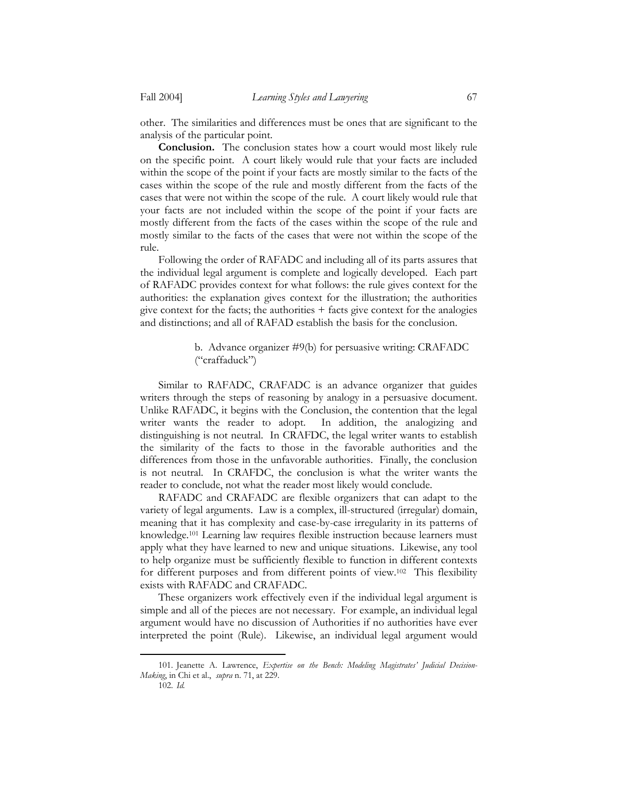other. The similarities and differences must be ones that are significant to the analysis of the particular point.

**Conclusion.** The conclusion states how a court would most likely rule on the specific point. A court likely would rule that your facts are included within the scope of the point if your facts are mostly similar to the facts of the cases within the scope of the rule and mostly different from the facts of the cases that were not within the scope of the rule. A court likely would rule that your facts are not included within the scope of the point if your facts are mostly different from the facts of the cases within the scope of the rule and mostly similar to the facts of the cases that were not within the scope of the rule.

 Following the order of RAFADC and including all of its parts assures that the individual legal argument is complete and logically developed. Each part of RAFADC provides context for what follows: the rule gives context for the authorities: the explanation gives context for the illustration; the authorities give context for the facts; the authorities  $+$  facts give context for the analogies and distinctions; and all of RAFAD establish the basis for the conclusion.

## b. Advance organizer #9(b) for persuasive writing: CRAFADC ("craffaduck")

 Similar to RAFADC, CRAFADC is an advance organizer that guides writers through the steps of reasoning by analogy in a persuasive document. Unlike RAFADC, it begins with the Conclusion, the contention that the legal writer wants the reader to adopt. In addition, the analogizing and distinguishing is not neutral. In CRAFDC, the legal writer wants to establish the similarity of the facts to those in the favorable authorities and the differences from those in the unfavorable authorities. Finally, the conclusion is not neutral. In CRAFDC, the conclusion is what the writer wants the reader to conclude, not what the reader most likely would conclude.

 RAFADC and CRAFADC are flexible organizers that can adapt to the variety of legal arguments. Law is a complex, ill-structured (irregular) domain, meaning that it has complexity and case-by-case irregularity in its patterns of knowledge.101 Learning law requires flexible instruction because learners must apply what they have learned to new and unique situations. Likewise, any tool to help organize must be sufficiently flexible to function in different contexts for different purposes and from different points of view.102 This flexibility exists with RAFADC and CRAFADC.

 These organizers work effectively even if the individual legal argument is simple and all of the pieces are not necessary. For example, an individual legal argument would have no discussion of Authorities if no authorities have ever interpreted the point (Rule). Likewise, an individual legal argument would

<sup>101.</sup> Jeanette A. Lawrence, *Expertise on the Bench: Modeling Magistrates' Judicial Decision-Making*, in Chi et al., *supra* n. 71, at 229.

<sup>102.</sup> *Id.*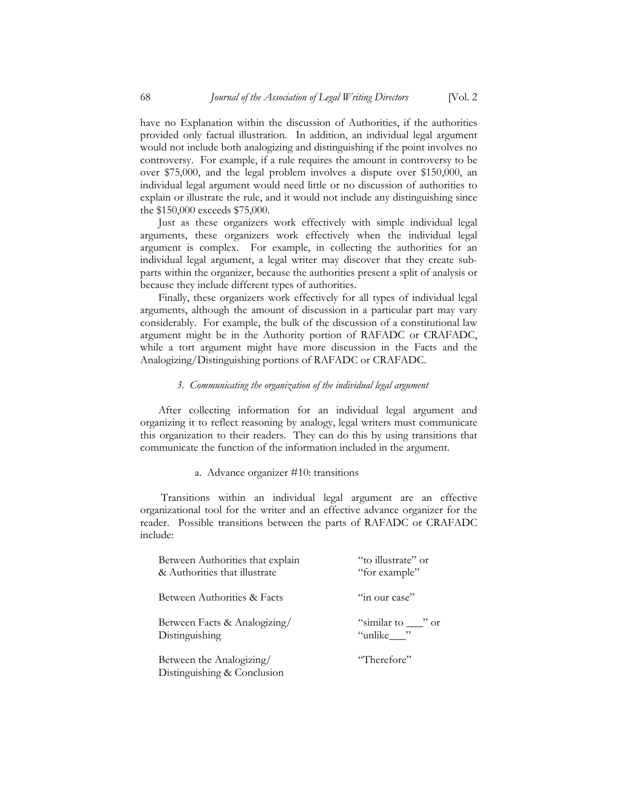have no Explanation within the discussion of Authorities, if the authorities provided only factual illustration. In addition, an individual legal argument would not include both analogizing and distinguishing if the point involves no controversy. For example, if a rule requires the amount in controversy to be over \$75,000, and the legal problem involves a dispute over \$150,000, an individual legal argument would need little or no discussion of authorities to explain or illustrate the rule, and it would not include any distinguishing since the \$150,000 exceeds \$75,000.

 Just as these organizers work effectively with simple individual legal arguments, these organizers work effectively when the individual legal argument is complex. For example, in collecting the authorities for an individual legal argument, a legal writer may discover that they create subparts within the organizer, because the authorities present a split of analysis or because they include different types of authorities.

 Finally, these organizers work effectively for all types of individual legal arguments, although the amount of discussion in a particular part may vary considerably. For example, the bulk of the discussion of a constitutional law argument might be in the Authority portion of RAFADC or CRAFADC, while a tort argument might have more discussion in the Facts and the Analogizing/Distinguishing portions of RAFADC or CRAFADC.

## *3. Communicating the organization of the individual legal argument*

 After collecting information for an individual legal argument and organizing it to reflect reasoning by analogy, legal writers must communicate this organization to their readers. They can do this by using transitions that communicate the function of the information included in the argument.

## a. Advance organizer #10: transitions

 Transitions within an individual legal argument are an effective organizational tool for the writer and an effective advance organizer for the reader. Possible transitions between the parts of RAFADC or CRAFADC include:

| Between Authorities that explain                        | "to illustrate" or     |
|---------------------------------------------------------|------------------------|
| & Authorities that illustrate                           | "for example"          |
| Between Authorities & Facts                             | "in our case"          |
| Between Facts & Analogizing/                            | "similar to $\_\$ " or |
| Distinguishing                                          | "unlike___"            |
| Between the Analogizing/<br>Distinguishing & Conclusion | "Therefore"            |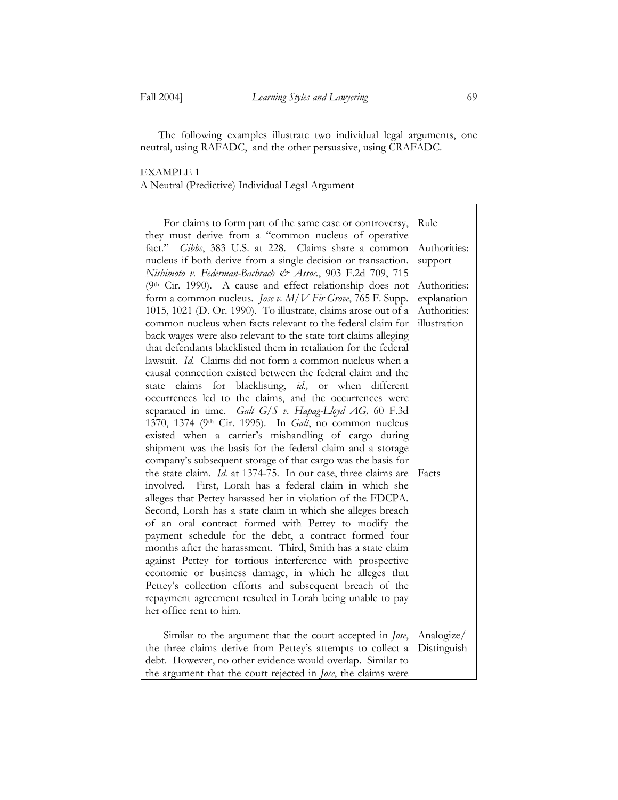The following examples illustrate two individual legal arguments, one neutral, using RAFADC, and the other persuasive, using CRAFADC.

## EXAMPLE 1 A Neutral (Predictive) Individual Legal Argument

| For claims to form part of the same case or controversy,              | Rule         |
|-----------------------------------------------------------------------|--------------|
| they must derive from a "common nucleus of operative                  |              |
| fact." Gibbs, 383 U.S. at 228. Claims share a common                  | Authorities: |
| nucleus if both derive from a single decision or transaction.         | support      |
| Nishimoto v. Federman-Bachrach & Assoc., 903 F.2d 709, 715            |              |
| (9th Cir. 1990). A cause and effect relationship does not             | Authorities: |
| form a common nucleus. Jose v. M/V Fir Grove, 765 F. Supp.            | explanation  |
| 1015, 1021 (D. Or. 1990). To illustrate, claims arose out of a        | Authorities: |
| common nucleus when facts relevant to the federal claim for           | illustration |
| back wages were also relevant to the state tort claims alleging       |              |
| that defendants blacklisted them in retaliation for the federal       |              |
|                                                                       |              |
| lawsuit. Id. Claims did not form a common nucleus when a              |              |
| causal connection existed between the federal claim and the           |              |
| claims for blacklisting, id., or when different<br>state              |              |
| occurrences led to the claims, and the occurrences were               |              |
| separated in time. Galt G/S v. Hapag-Lloyd AG, 60 F.3d                |              |
| 1370, 1374 (9th Cir. 1995). In Galt, no common nucleus                |              |
| existed when a carrier's mishandling of cargo during                  |              |
| shipment was the basis for the federal claim and a storage            |              |
| company's subsequent storage of that cargo was the basis for          |              |
| the state claim. Id. at 1374-75. In our case, three claims are        | Facts        |
| involved. First, Lorah has a federal claim in which she               |              |
| alleges that Pettey harassed her in violation of the FDCPA.           |              |
| Second, Lorah has a state claim in which she alleges breach           |              |
| of an oral contract formed with Pettey to modify the                  |              |
| payment schedule for the debt, a contract formed four                 |              |
| months after the harassment. Third, Smith has a state claim           |              |
| against Pettey for tortious interference with prospective             |              |
| economic or business damage, in which he alleges that                 |              |
| Pettey's collection efforts and subsequent breach of the              |              |
| repayment agreement resulted in Lorah being unable to pay             |              |
| her office rent to him.                                               |              |
|                                                                       |              |
| Similar to the argument that the court accepted in Jose,              | Analogize/   |
| the three claims derive from Pettey's attempts to collect a           | Distinguish  |
| debt. However, no other evidence would overlap. Similar to            |              |
| the argument that the court rejected in <i>Jose</i> , the claims were |              |
|                                                                       |              |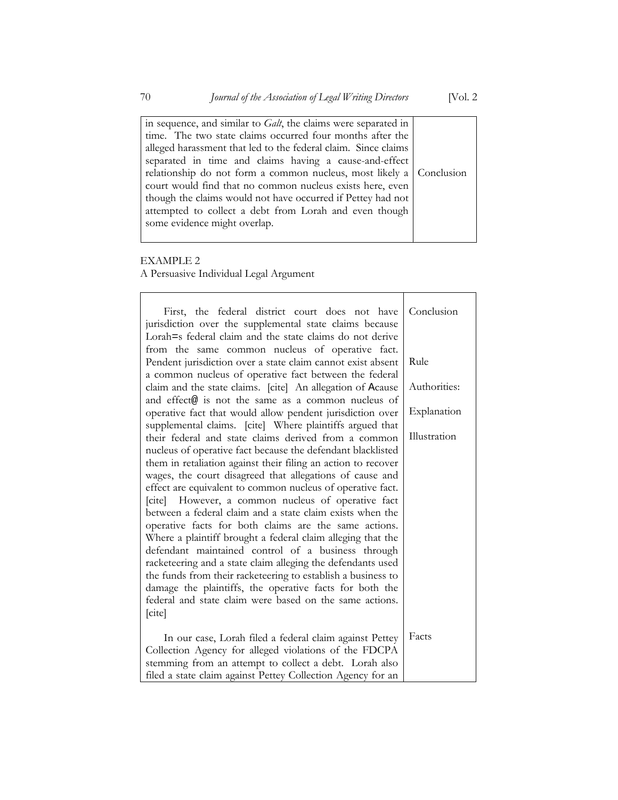in sequence, and similar to *Galt*, the claims were separated in time. The two state claims occurred four months after the alleged harassment that led to the federal claim. Since claims separated in time and claims having a cause-and-effect relationship do not form a common nucleus, most likely a court would find that no common nucleus exists here, even though the claims would not have occurred if Pettey had not attempted to collect a debt from Lorah and even though some evidence might overlap. Conclusion

## EXAMPLE 2

A Persuasive Individual Legal Argument

| First, the federal district court does not have<br>jurisdiction over the supplemental state claims because | Conclusion   |
|------------------------------------------------------------------------------------------------------------|--------------|
| Lorah=s federal claim and the state claims do not derive                                                   |              |
| from the same common nucleus of operative fact.                                                            |              |
| Pendent jurisdiction over a state claim cannot exist absent                                                | Rule         |
| a common nucleus of operative fact between the federal                                                     |              |
| claim and the state claims. [cite] An allegation of Acause                                                 | Authorities: |
| and effect@ is not the same as a common nucleus of                                                         |              |
| operative fact that would allow pendent jurisdiction over                                                  | Explanation  |
| supplemental claims. [cite] Where plaintiffs argued that                                                   |              |
| their federal and state claims derived from a common                                                       | Illustration |
| nucleus of operative fact because the defendant blacklisted                                                |              |
| them in retaliation against their filing an action to recover                                              |              |
| wages, the court disagreed that allegations of cause and                                                   |              |
| effect are equivalent to common nucleus of operative fact.                                                 |              |
| [cite] However, a common nucleus of operative fact                                                         |              |
| between a federal claim and a state claim exists when the                                                  |              |
| operative facts for both claims are the same actions.                                                      |              |
| Where a plaintiff brought a federal claim alleging that the                                                |              |
| defendant maintained control of a business through                                                         |              |
| racketeering and a state claim alleging the defendants used                                                |              |
| the funds from their racketeering to establish a business to                                               |              |
| damage the plaintiffs, the operative facts for both the                                                    |              |
| federal and state claim were based on the same actions.                                                    |              |
| [cite]                                                                                                     |              |
|                                                                                                            |              |
| In our case, Lorah filed a federal claim against Pettey                                                    | Facts        |
| Collection Agency for alleged violations of the FDCPA                                                      |              |
| stemming from an attempt to collect a debt. Lorah also                                                     |              |
| filed a state claim against Pettey Collection Agency for an                                                |              |

H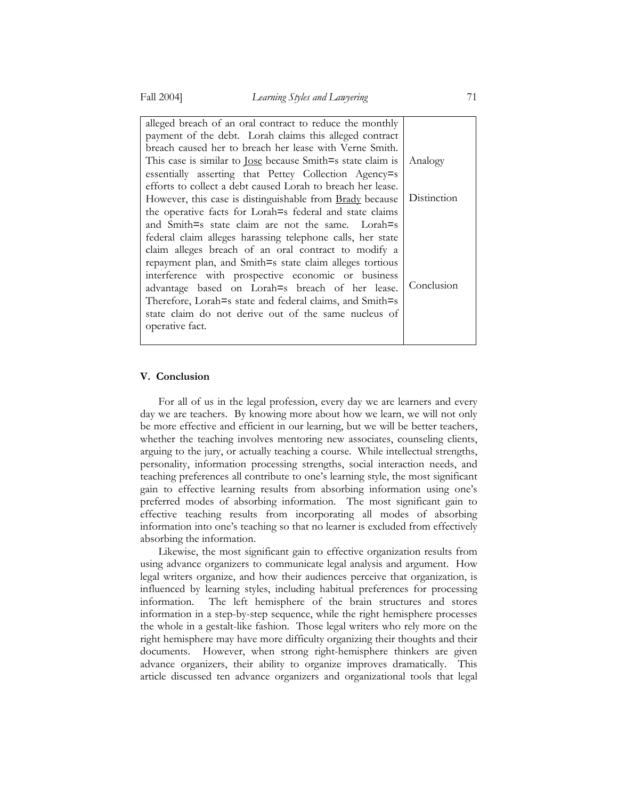| alleged breach of an oral contract to reduce the monthly           |             |
|--------------------------------------------------------------------|-------------|
| payment of the debt. Lorah claims this alleged contract            |             |
| breach caused her to breach her lease with Verne Smith.            |             |
| This case is similar to <u>Jose</u> because Smith=s state claim is | Analogy     |
| essentially asserting that Pettey Collection Agency=s              |             |
| efforts to collect a debt caused Lorah to breach her lease.        |             |
| However, this case is distinguishable from <b>Brady</b> because    | Distinction |
| the operative facts for Lorah=s federal and state claims           |             |
| and Smith=s state claim are not the same. Lorah=s                  |             |
| federal claim alleges harassing telephone calls, her state         |             |
| claim alleges breach of an oral contract to modify a               |             |
| repayment plan, and Smith=s state claim alleges tortious           |             |
| interference with prospective economic or business                 |             |
| advantage based on Lorah=s breach of her lease.                    | Conclusion  |
| Therefore, Lorah=s state and federal claims, and Smith=s           |             |
| state claim do not derive out of the same nucleus of               |             |
| operative fact.                                                    |             |
|                                                                    |             |

#### **V. Conclusion**

 For all of us in the legal profession, every day we are learners and every day we are teachers. By knowing more about how we learn, we will not only be more effective and efficient in our learning, but we will be better teachers, whether the teaching involves mentoring new associates, counseling clients, arguing to the jury, or actually teaching a course. While intellectual strengths, personality, information processing strengths, social interaction needs, and teaching preferences all contribute to one's learning style, the most significant gain to effective learning results from absorbing information using one's preferred modes of absorbing information. The most significant gain to effective teaching results from incorporating all modes of absorbing information into one's teaching so that no learner is excluded from effectively absorbing the information.

 Likewise, the most significant gain to effective organization results from using advance organizers to communicate legal analysis and argument. How legal writers organize, and how their audiences perceive that organization, is influenced by learning styles, including habitual preferences for processing information. The left hemisphere of the brain structures and stores information in a step-by-step sequence, while the right hemisphere processes the whole in a gestalt-like fashion. Those legal writers who rely more on the right hemisphere may have more difficulty organizing their thoughts and their documents. However, when strong right-hemisphere thinkers are given advance organizers, their ability to organize improves dramatically. This article discussed ten advance organizers and organizational tools that legal